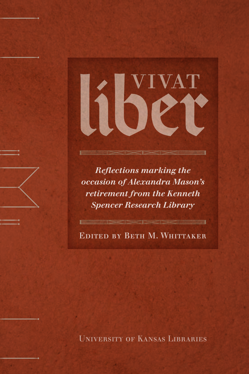

*Reflections marking the occasion of Alexandra Mason's retirement from the Kenneth Spencer Research Library*

Edited by Beth M. Whittaker

∃

University of Kansas Libraries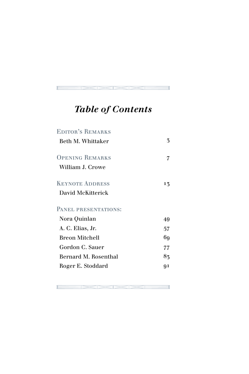# *Table of Contents*

| <b>EDITOR'S REMARKS</b> |    |
|-------------------------|----|
| Beth M. Whittaker       | 3  |
| <b>OPENING REMARKS</b>  | 7  |
| William J. Crowe        |    |
| <b>KEYNOTE ADDRESS</b>  | 13 |
| David McKitterick       |    |
| PANEL PRESENTATIONS:    |    |
| Nora Quinlan            | 49 |
| A. C. Elias, Jr.        | 57 |
| <b>Breon Mitchell</b>   | 69 |
| Gordon C. Sauer         | 77 |
| Bernard M. Rosenthal    | 83 |
| Roger E. Stoddard       | Ql |
|                         |    |

 $\blacksquare$   $\boxtimes$   $\boxtimes$   $\boxtimes$   $\blacksquare$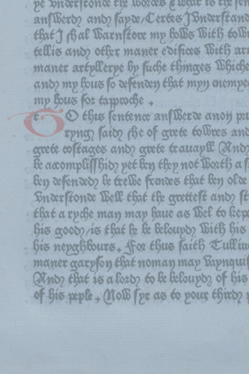pe puter fronte the words & white to the fen an Werdy and laper Certes Turer frand that J Bal Warn leove mp Bolbe With to Bi tellis and other maner edifices With an maner artpllerpe by fuche thinges Whiche and mp hous to defenden that mpy enempt mp hous for tappede +

t O this sentence an Berde anois pu rpng faity fie of grete tolbres and grete coltages and grete trauapt (And le accomplission pet len thep not Boxth a ben referardo le trelle frances that len ofce Snær fonce Wett that the grettest and st that a ryche may may have as Bel to kep his goody is that be be beloup thith his his nepathburs. for thus faith Eullin maner gary on that noman may kapnqui And that is a lost to be beloupt, of his of his peple - Molb (pr as to pour thirty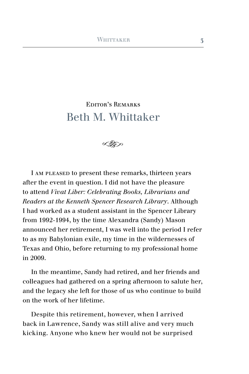## EDITOR'S REMARKS Beth M. Whittaker



I am pleased to present these remarks, thirteen years after the event in question. I did not have the pleasure to attend *Vivat Liber: Celebrating Books, Librarians and Readers at the Kenneth Spencer Research Library*. Although I had worked as a student assistant in the Spencer Library from 1992-1994, by the time Alexandra (Sandy) Mason announced her retirement, I was well into the period I refer to as my Babylonian exile, my time in the wildernesses of Texas and Ohio, before returning to my professional home in 2009.

In the meantime, Sandy had retired, and her friends and colleagues had gathered on a spring afternoon to salute her, and the legacy she left for those of us who continue to build on the work of her lifetime.

Despite this retirement, however, when I arrived back in Lawrence, Sandy was still alive and very much kicking. Anyone who knew her would not be surprised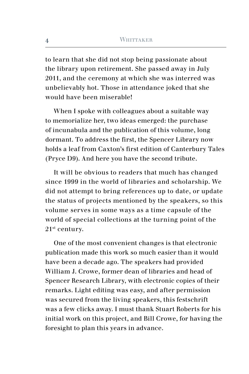to learn that she did not stop being passionate about the library upon retirement. She passed away in July 2011, and the ceremony at which she was interred was unbelievably hot. Those in attendance joked that she would have been miserable!

When I spoke with colleagues about a suitable way to memorialize her, two ideas emerged: the purchase of incunabula and the publication of this volume, long dormant. To address the first, the Spencer Library now holds a leaf from Caxton's first edition of Canterbury Tales (Pryce D9). And here you have the second tribute.

It will be obvious to readers that much has changed since 1999 in the world of libraries and scholarship. We did not attempt to bring references up to date, or update the status of projects mentioned by the speakers, so this volume serves in some ways as a time capsule of the world of special collections at the turning point of the 21st century.

One of the most convenient changes is that electronic publication made this work so much easier than it would have been a decade ago. The speakers had provided William J. Crowe, former dean of libraries and head of Spencer Research Library, with electronic copies of their remarks. Light editing was easy, and after permission was secured from the living speakers, this festschrift was a few clicks away. I must thank Stuart Roberts for his initial work on this project, and Bill Crowe, for having the foresight to plan this years in advance.

**4**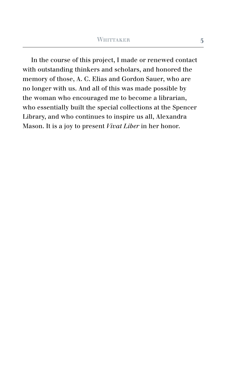In the course of this project, I made or renewed contact with outstanding thinkers and scholars, and honored the memory of those, A. C. Elias and Gordon Sauer, who are no longer with us. And all of this was made possible by the woman who encouraged me to become a librarian, who essentially built the special collections at the Spencer Library, and who continues to inspire us all, Alexandra Mason. It is a joy to present *Vivat Liber* in her honor.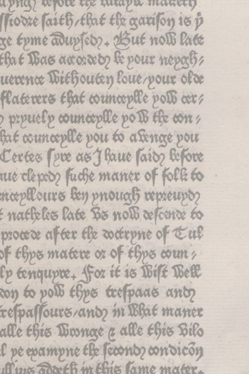apna) refole tex intapir manety ftodze faith/that the garifon is p ge tyme adupsed ?- Azut noll late that Bas accorded the pour mepoch uexente Wiehouten loue/pour olde flaterers that counceplle poli cer? prpuelp counceplle pois the con hat counceplle pou to a senge pou Certes (pre as J haue (ais) before nue clepto fuche maner of folk to mæpllours ben priouaß repreupo? f natheles late Bs nolb refcente to procede after the detrpne of tul of thps matere or of thps county lp tenqupre. for it is Wilt West don to poll thre trespaces and respassours/and m Bhit maner alle this Winnae a alle this Bilo l pe epampne the feconoz condicon Aux Toxeth m this lame mater.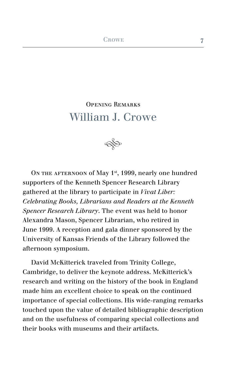## Opening Remarks William J. Crowe



ON THE AFTERNOON of May  $1<sup>st</sup>$ , 1999, nearly one hundred supporters of the Kenneth Spencer Research Library gathered at the library to participate in *Vivat Liber: Celebrating Books, Librarians and Readers at the Kenneth Spencer Research Library*. The event was held to honor Alexandra Mason, Spencer Librarian, who retired in June 1999. A reception and gala dinner sponsored by the University of Kansas Friends of the Library followed the afternoon symposium.

David McKitterick traveled from Trinity College, Cambridge, to deliver the keynote address. McKitterick's research and writing on the history of the book in England made him an excellent choice to speak on the continued importance of special collections. His wide-ranging remarks touched upon the value of detailed bibliographic description and on the usefulness of comparing special collections and their books with museums and their artifacts.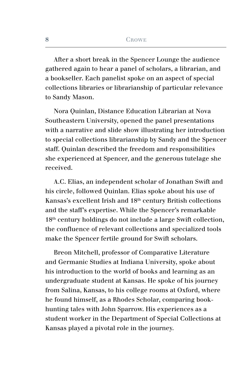After a short break in the Spencer Lounge the audience gathered again to hear a panel of scholars, a librarian, and a bookseller. Each panelist spoke on an aspect of special collections libraries or librarianship of particular relevance to Sandy Mason.

Nora Quinlan, Distance Education Librarian at Nova Southeastern University, opened the panel presentations with a narrative and slide show illustrating her introduction to special collections librarianship by Sandy and the Spencer staff. Quinlan described the freedom and responsibilities she experienced at Spencer, and the generous tutelage she received.

A.C. Elias, an independent scholar of Jonathan Swift and his circle, followed Quinlan. Elias spoke about his use of Kansas's excellent Irish and 18<sup>th</sup> century British collections and the staff's expertise. While the Spencer's remarkable 18th century holdings do not include a large Swift collection, the confluence of relevant collections and specialized tools make the Spencer fertile ground for Swift scholars.

Breon Mitchell, professor of Comparative Literature and Germanic Studies at Indiana University, spoke about his introduction to the world of books and learning as an undergraduate student at Kansas. He spoke of his journey from Salina, Kansas, to his college rooms at Oxford, where he found himself, as a Rhodes Scholar, comparing bookhunting tales with John Sparrow. His experiences as a student worker in the Department of Special Collections at Kansas played a pivotal role in the journey.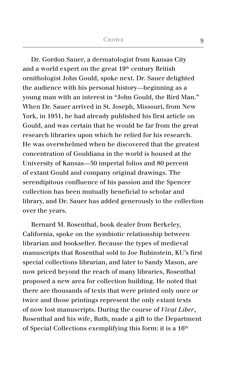Dr. Gordon Sauer, a dermatologist from Kansas City and a world expert on the great  $19<sup>th</sup>$  century British ornithologist John Gould, spoke next. Dr. Sauer delighted the audience with his personal history—beginning as a young man with an interest in "John Gould, the Bird Man." When Dr. Sauer arrived in St. Joseph, Missouri, from New York, in 1951, he had already published his first article on Gould, and was certain that he would be far from the great research libraries upon which he relied for his research. He was overwhelmed when he discovered that the greatest concentration of Gouldiana in the world is housed at the University of Kansas—50 imperial folios and 80 percent of extant Gould and company original drawings. The serendipitous confluence of his passion and the Spencer collection has been mutually beneficial to scholar and library, and Dr. Sauer has added generously to the collection over the years.

Bernard M. Rosenthal, book dealer from Berkeley, California, spoke on the symbiotic relationship between librarian and bookseller. Because the types of medieval manuscripts that Rosenthal sold to Joe Rubinstein, KU's first special collections librarian, and later to Sandy Mason, are now priced beyond the reach of many libraries, Rosenthal proposed a new area for collection building. He noted that there are thousands of texts that were printed only once or twice and those printings represent the only extant texts of now lost manuscripts. During the course of *Vivat Liber*, Rosenthal and his wife, Ruth, made a gift to the Department of Special Collections exemplifying this form: it is a  $16<sup>th</sup>$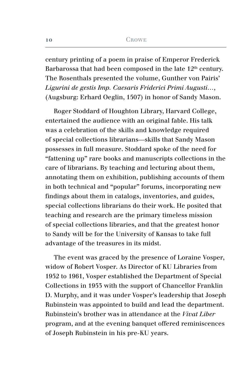#### **CROWE**

century printing of a poem in praise of Emperor Frederick Barbarossa that had been composed in the late  $12<sup>th</sup>$  century. The Rosenthals presented the volume, Gunther von Pairis' *Ligurini de gestis Imp. Caesaris Friderici Primi Augusti…*, (Augsburg: Erhard Oeglin, 1507) in honor of Sandy Mason.

Roger Stoddard of Houghton Library, Harvard College, entertained the audience with an original fable. His talk was a celebration of the skills and knowledge required of special collections librarians—skills that Sandy Mason possesses in full measure. Stoddard spoke of the need for "fattening up" rare books and manuscripts collections in the care of librarians. By teaching and lecturing about them, annotating them on exhibition, publishing accounts of them in both technical and "popular" forums, incorporating new findings about them in catalogs, inventories, and guides, special collections librarians do their work. He posited that teaching and research are the primary timeless mission of special collections libraries, and that the greatest honor to Sandy will be for the University of Kansas to take full advantage of the treasures in its midst.

The event was graced by the presence of Loraine Vosper, widow of Robert Vosper. As Director of KU Libraries from 1952 to 1961, Vosper established the Department of Special Collections in 1953 with the support of Chancellor Franklin D. Murphy, and it was under Vosper's leadership that Joseph Rubinstein was appointed to build and lead the department. Rubinstein's brother was in attendance at the *Vivat Liber* program, and at the evening banquet offered reminiscences of Joseph Rubinstein in his pre-KU years.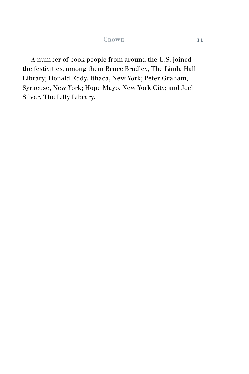A number of book people from around the U.S. joined the festivities, among them Bruce Bradley, The Linda Hall Library; Donald Eddy, Ithaca, New York; Peter Graham, Syracuse, New York; Hope Mayo, New York City; and Joel Silver, The Lilly Library.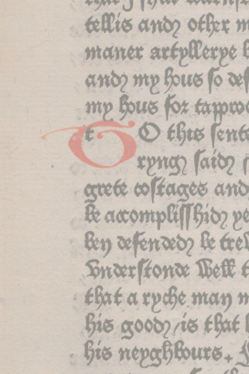tout I that washing tellis and other m maner artpllerpe l and my hous so des mp hous for tappro O this sent tr rpng faioz grete costages and Be accomplission pe len æfenædy le tres Hnærstonæ Pett t that a ryche man n  $f$ Bis nepaßbours.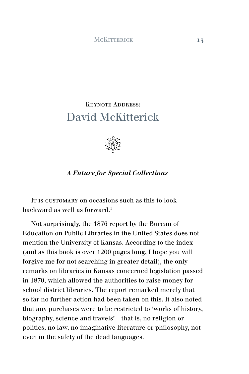## Keynote Address: David McKitterick



### *A Future for Special Collections*

It is customary on occasions such as this to look backward as well as forward.1

Not surprisingly, the 1876 report by the Bureau of Education on Public Libraries in the United States does not mention the University of Kansas. According to the index (and as this book is over 1200 pages long, I hope you will forgive me for not searching in greater detail), the only remarks on libraries in Kansas concerned legislation passed in 1870, which allowed the authorities to raise money for school district libraries. The report remarked merely that so far no further action had been taken on this. It also noted that any purchases were to be restricted to 'works of history, biography, science and travels' – that is, no religion or politics, no law, no imaginative literature or philosophy, not even in the safety of the dead languages.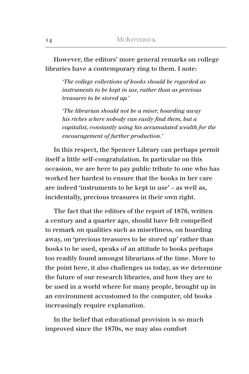However, the editors' more general remarks on college libraries have a contemporary ring to them. I note:

*'The college collections of books should be regarded as instruments to be kept in use, rather than as precious treasures to be stored up.'*

*'The librarian should not be a miser, hoarding away his riches where nobody can easily find them, but a capitalist, constantly using his accumulated wealth for the encouragement of further production.'*

In this respect, the Spencer Library can perhaps permit itself a little self-congratulation. In particular on this occasion, we are here to pay public tribute to one who has worked her hardest to ensure that the books in her care are indeed 'instruments to be kept in use' – as well as, incidentally, precious treasures in their own right.

The fact that the editors of the report of 1876, written a century and a quarter ago, should have felt compelled to remark on qualities such as miserliness, on hoarding away, on 'precious treasures to be stored up' rather than books to be used, speaks of an attitude to books perhaps too readily found amongst librarians of the time. More to the point here, it also challenges us today, as we determine the future of our research libraries, and how they are to be used in a world where for many people, brought up in an environment accustomed to the computer, old books increasingly require explanation.

In the belief that educational provision is so much improved since the 1870s, we may also comfort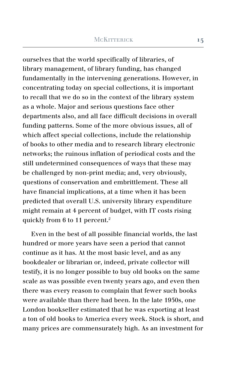ourselves that the world specifically of libraries, of library management, of library funding, has changed fundamentally in the intervening generations. However, in concentrating today on special collections, it is important to recall that we do so in the context of the library system as a whole. Major and serious questions face other departments also, and all face difficult decisions in overall funding patterns. Some of the more obvious issues, all of which affect special collections, include the relationship of books to other media and to research library electronic networks; the ruinous inflation of periodical costs and the still undetermined consequences of ways that these may be challenged by non-print media; and, very obviously, questions of conservation and embrittlement. These all have financial implications, at a time when it has been predicted that overall U.S. university library expenditure might remain at 4 percent of budget, with IT costs rising quickly from 6 to 11 percent.2

Even in the best of all possible financial worlds, the last hundred or more years have seen a period that cannot continue as it has. At the most basic level, and as any bookdealer or librarian or, indeed, private collector will testify, it is no longer possible to buy old books on the same scale as was possible even twenty years ago, and even then there was every reason to complain that fewer such books were available than there had been. In the late 1950s, one London bookseller estimated that he was exporting at least a ton of old books to America every week. Stock is short, and many prices are commensurately high. As an investment for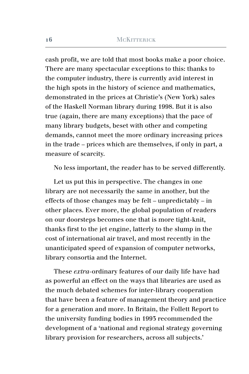cash profit, we are told that most books make a poor choice. There are many spectacular exceptions to this: thanks to the computer industry, there is currently avid interest in the high spots in the history of science and mathematics, demonstrated in the prices at Christie's (New York) sales of the Haskell Norman library during 1998. But it is also true (again, there are many exceptions) that the pace of many library budgets, beset with other and competing demands, cannot meet the more ordinary increasing prices in the trade – prices which are themselves, if only in part, a measure of scarcity.

No less important, the reader has to be served differently.

Let us put this in perspective. The changes in one library are not necessarily the same in another, but the effects of those changes may be felt – unpredictably – in other places. Ever more, the global population of readers on our doorsteps becomes one that is more tight-knit, thanks first to the jet engine, latterly to the slump in the cost of international air travel, and most recently in the unanticipated speed of expansion of computer networks, library consortia and the Internet.

These *extra*-ordinary features of our daily life have had as powerful an effect on the ways that libraries are used as the much debated schemes for inter-library cooperation that have been a feature of management theory and practice for a generation and more. In Britain, the Follett Report to the university funding bodies in 1993 recommended the development of a 'national and regional strategy governing library provision for researchers, across all subjects.'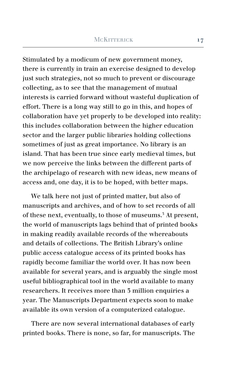Stimulated by a modicum of new government money, there is currently in train an exercise designed to develop just such strategies, not so much to prevent or discourage collecting, as to see that the management of mutual interests is carried forward without wasteful duplication of effort. There is a long way still to go in this, and hopes of collaboration have yet properly to be developed into reality: this includes collaboration between the higher education sector and the larger public libraries holding collections sometimes of just as great importance. No library is an island. That has been true since early medieval times, but we now perceive the links between the different parts of the archipelago of research with new ideas, new means of access and, one day, it is to be hoped, with better maps.

We talk here not just of printed matter, but also of manuscripts and archives, and of how to set records of all of these next, eventually, to those of museums.<sup>3</sup> At present, the world of manuscripts lags behind that of printed books in making readily available records of the whereabouts and details of collections. The British Library's online public access catalogue access of its printed books has rapidly become familiar the world over. It has now been available for several years, and is arguably the single most useful bibliographical tool in the world available to many researchers. It receives more than 3 million enquiries a year. The Manuscripts Department expects soon to make available its own version of a computerized catalogue.

There are now several international databases of early printed books. There is none, so far, for manuscripts. The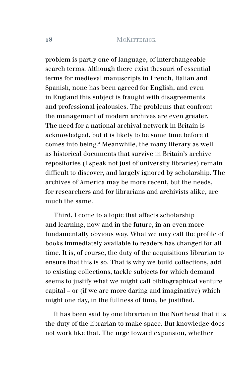problem is partly one of language, of interchangeable search terms. Although there exist thesauri of essential terms for medieval manuscripts in French, Italian and Spanish, none has been agreed for English, and even in England this subject is fraught with disagreements and professional jealousies. The problems that confront the management of modern archives are even greater. The need for a national archival network in Britain is acknowledged, but it is likely to be some time before it comes into being.4 Meanwhile, the many literary as well as historical documents that survive in Britain's archive repositories (I speak not just of university libraries) remain difficult to discover, and largely ignored by scholarship. The archives of America may be more recent, but the needs, for researchers and for librarians and archivists alike, are much the same.

Third, I come to a topic that affects scholarship and learning, now and in the future, in an even more fundamentally obvious way. What we may call the profile of books immediately available to readers has changed for all time. It is, of course, the duty of the acquisitions librarian to ensure that this is so. That is why we build collections, add to existing collections, tackle subjects for which demand seems to justify what we might call bibliographical venture capital – or (if we are more daring and imaginative) which might one day, in the fullness of time, be justified.

It has been said by one librarian in the Northeast that it is the duty of the librarian to make space. But knowledge does not work like that. The urge toward expansion, whether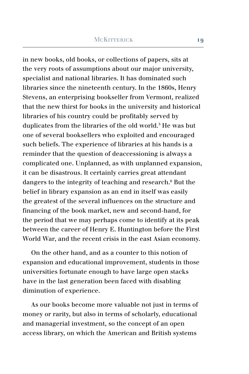in new books, old books, or collections of papers, sits at the very roots of assumptions about our major university, specialist and national libraries. It has dominated such libraries since the nineteenth century. In the 1860s, Henry Stevens, an enterprising bookseller from Vermont, realized that the new thirst for books in the university and historical libraries of his country could be profitably served by duplicates from the libraries of the old world.<sup>5</sup> He was but one of several booksellers who exploited and encouraged such beliefs. The experience of libraries at his hands is a reminder that the question of deaccessioning is always a complicated one. Unplanned, as with unplanned expansion, it can be disastrous. It certainly carries great attendant dangers to the integrity of teaching and research.<sup>6</sup> But the belief in library expansion as an end in itself was easily the greatest of the several influences on the structure and financing of the book market, new and second-hand, for the period that we may perhaps come to identify at its peak between the career of Henry E. Huntington before the First World War, and the recent crisis in the east Asian economy.

On the other hand, and as a counter to this notion of expansion and educational improvement, students in those universities fortunate enough to have large open stacks have in the last generation been faced with disabling diminution of experience.

As our books become more valuable not just in terms of money or rarity, but also in terms of scholarly, educational and managerial investment, so the concept of an open access library, on which the American and British systems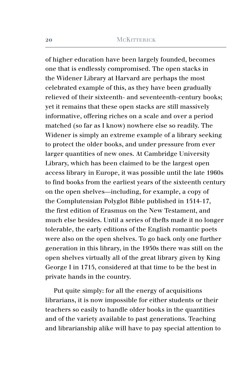of higher education have been largely founded, becomes one that is endlessly compromised. The open stacks in the Widener Library at Harvard are perhaps the most celebrated example of this, as they have been gradually relieved of their sixteenth- and seventeenth-century books; yet it remains that these open stacks are still massively informative, offering riches on a scale and over a period matched (so far as I know) nowhere else so readily. The Widener is simply an extreme example of a library seeking to protect the older books, and under pressure from ever larger quantities of new ones. At Cambridge University Library, which has been claimed to be the largest open access library in Europe, it was possible until the late 1960s to find books from the earliest years of the sixteenth century on the open shelves—including, for example, a copy of the Complutensian Polyglot Bible published in 1514-17, the first edition of Erasmus on the New Testament, and much else besides. Until a series of thefts made it no longer tolerable, the early editions of the English romantic poets were also on the open shelves. To go back only one further generation in this library, in the 1950s there was still on the open shelves virtually all of the great library given by King George I in 1715, considered at that time to be the best in private hands in the country.

Put quite simply: for all the energy of acquisitions librarians, it is now impossible for either students or their teachers so easily to handle older books in the quantities and of the variety available to past generations. Teaching and librarianship alike will have to pay special attention to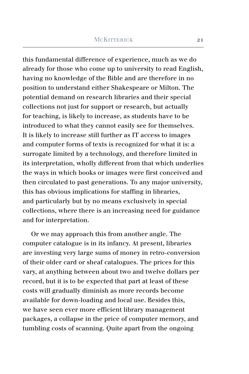this fundamental difference of experience, much as we do already for those who come up to university to read English, having no knowledge of the Bible and are therefore in no position to understand either Shakespeare or Milton. The potential demand on research libraries and their special collections not just for support or research, but actually for teaching, is likely to increase, as students have to be introduced to what they cannot easily see for themselves. It is likely to increase still further as IT access to images and computer forms of texts is recognized for what it is: a surrogate limited by a technology, and therefore limited in its interpretation, wholly different from that which underlies the ways in which books or images were first conceived and then circulated to past generations. To any major university, this has obvious implications for staffing in libraries, and particularly but by no means exclusively in special collections, where there is an increasing need for guidance and for interpretation.

Or we may approach this from another angle. The computer catalogue is in its infancy. At present, libraries are investing very large sums of money in retro-conversion of their older card or sheaf catalogues. The prices for this vary, at anything between about two and twelve dollars per record, but it is to be expected that part at least of these costs will gradually diminish as more records become available for down-loading and local use. Besides this, we have seen ever more efficient library management packages, a collapse in the price of computer memory, and tumbling costs of scanning. Quite apart from the ongoing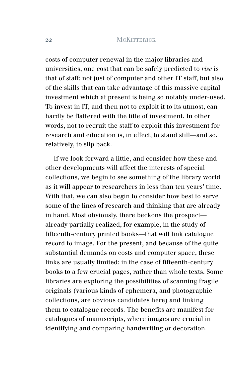costs of computer renewal in the major libraries and universities, one cost that can be safely predicted to *rise* is that of staff: not just of computer and other IT staff, but also of the skills that can take advantage of this massive capital investment which at present is being so notably under-used. To invest in IT, and then not to exploit it to its utmost, can hardly be flattered with the title of investment. In other words, not to recruit the staff to exploit this investment for research and education is, in effect, to stand still—and so, relatively, to slip back.

If we look forward a little, and consider how these and other developments will affect the interests of special collections, we begin to see something of the library world as it will appear to researchers in less than ten years' time. With that, we can also begin to consider how best to serve some of the lines of research and thinking that are already in hand. Most obviously, there beckons the prospect already partially realized, for example, in the study of fifteenth-century printed books—that will link catalogue record to image. For the present, and because of the quite substantial demands on costs and computer space, these links are usually limited: in the case of fifteenth-century books to a few crucial pages, rather than whole texts. Some libraries are exploring the possibilities of scanning fragile originals (various kinds of ephemera, and photographic collections, are obvious candidates here) and linking them to catalogue records. The benefits are manifest for catalogues of manuscripts, where images are crucial in identifying and comparing handwriting or decoration.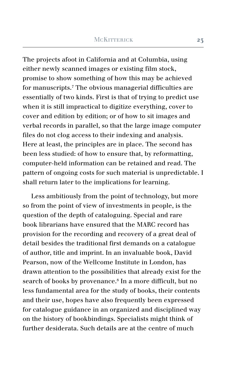The projects afoot in California and at Columbia, using either newly scanned images or existing film stock, promise to show something of how this may be achieved for manuscripts.7 The obvious managerial difficulties are essentially of two kinds. First is that of trying to predict use when it is still impractical to digitize everything, cover to cover and edition by edition; or of how to sit images and verbal records in parallel, so that the large image computer files do not clog access to their indexing and analysis. Here at least, the principles are in place. The second has been less studied: of how to ensure that, by reformatting, computer-held information can be retained and read. The pattern of ongoing costs for such material is unpredictable. I shall return later to the implications for learning.

Less ambitiously from the point of technology, but more so from the point of view of investments in people, is the question of the depth of cataloguing. Special and rare book librarians have ensured that the MARC record has provision for the recording and recovery of a great deal of detail besides the traditional first demands on a catalogue of author, title and imprint. In an invaluable book, David Pearson, now of the Wellcome Institute in London, has drawn attention to the possibilities that already exist for the search of books by provenance.8 In a more difficult, but no less fundamental area for the study of books, their contents and their use, hopes have also frequently been expressed for catalogue guidance in an organized and disciplined way on the history of bookbindings. Specialists might think of further desiderata. Such details are at the centre of much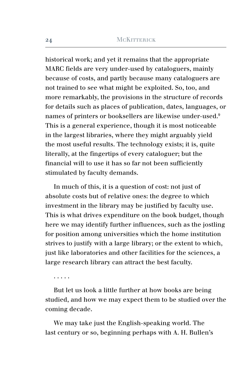historical work; and yet it remains that the appropriate MARC fields are very under-used by cataloguers, mainly because of costs, and partly because many cataloguers are not trained to see what might be exploited. So, too, and more remarkably, the provisions in the structure of records for details such as places of publication, dates, languages, or names of printers or booksellers are likewise under-used.9 This is a general experience, though it is most noticeable in the largest libraries, where they might arguably yield the most useful results. The technology exists; it is, quite literally, at the fingertips of every cataloguer; but the financial will to use it has so far not been sufficiently stimulated by faculty demands.

In much of this, it is a question of cost: not just of absolute costs but of relative ones: the degree to which investment in the library may be justified by faculty use. This is what drives expenditure on the book budget, though here we may identify further influences, such as the jostling for position among universities which the home institution strives to justify with a large library; or the extent to which, just like laboratories and other facilities for the sciences, a large research library can attract the best faculty.

. . . . .

But let us look a little further at how books are being studied, and how we may expect them to be studied over the coming decade.

We may take just the English-speaking world. The last century or so, beginning perhaps with A. H. Bullen's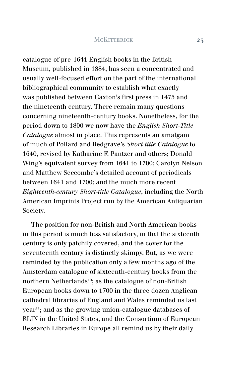catalogue of pre-1641 English books in the British Museum, published in 1884, has seen a concentrated and usually well-focused effort on the part of the international bibliographical community to establish what exactly was published between Caxton's first press in 1475 and the nineteenth century. There remain many questions concerning nineteenth-century books. Nonetheless, for the period down to 1800 we now have the *English Short-Title Catalogue* almost in place. This represents an amalgam of much of Pollard and Redgrave's *Short-title Catalogue* to 1640, revised by Katharine F. Pantzer and others; Donald Wing's equivalent survey from 1641 to 1700; Carolyn Nelson and Matthew Seccombe's detailed account of periodicals between 1641 and 1700; and the much more recent *Eighteenth-century Short-title Catalogue*, including the North American Imprints Project run by the American Antiquarian Society.

The position for non-British and North American books in this period is much less satisfactory, in that the sixteenth century is only patchily covered, and the cover for the seventeenth century is distinctly skimpy. But, as we were reminded by the publication only a few months ago of the Amsterdam catalogue of sixteenth-century books from the northern Netherlands<sup>10</sup>; as the catalogue of non-British European books down to 1700 in the three dozen Anglican cathedral libraries of England and Wales reminded us last year11; and as the growing union-catalogue databases of RLIN in the United States, and the Consortium of European Research Libraries in Europe all remind us by their daily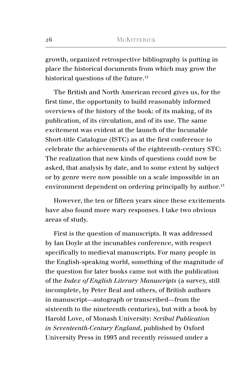growth, organized retrospective bibliography is putting in place the historical documents from which may grow the historical questions of the future.<sup>12</sup>

The British and North American record gives us, for the first time, the opportunity to build reasonably informed overviews of the history of the book: of its making, of its publication, of its circulation, and of its use. The same excitement was evident at the launch of the Incunable Short-title Catalogue (ISTC) as at the first conference to celebrate the achievements of the eighteenth-century STC: The realization that new kinds of questions could now be asked, that analysis by date, and to some extent by subject or by genre were now possible on a scale impossible in an environment dependent on ordering principally by author.<sup>15</sup>

However, the ten or fifteen years since these excitements have also found more wary responses. I take two obvious areas of study.

First is the question of manuscripts. It was addressed by Ian Doyle at the incunables conference, with respect specifically to medieval manuscripts. For many people in the English-speaking world, something of the magnitude of the question for later books came not with the publication of the *Index of English Literary Manuscripts* (a survey, still incomplete, by Peter Beal and others, of British authors in manuscript—autograph or transcribed—from the sixteenth to the nineteenth centuries), but with a book by Harold Love, of Monash University: *Scribal Publication in Seventeenth-Century England*, published by Oxford University Press in 1993 and recently reissued under a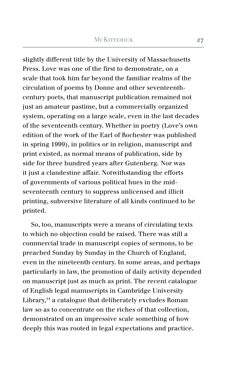slightly different title by the University of Massachusetts Press. Love was one of the first to demonstrate, on a scale that took him far beyond the familiar realms of the circulation of poems by Donne and other seventeenthcentury poets, that manuscript publication remained not just an amateur pastime, but a commercially organized system, operating on a large scale, even in the last decades of the seventeenth century. Whether in poetry (Love's own edition of the work of the Earl of Rochester was published in spring 1999), in politics or in religion, manuscript and print existed, as normal means of publication, side by side for three hundred years after Gutenberg. Nor was it just a clandestine affair. Notwithstanding the efforts of governments of various political hues in the midseventeenth century to suppress unlicensed and illicit printing, subversive literature of all kinds continued to be printed.

So, too, manuscripts were a means of circulating texts to which no objection could be raised. There was still a commercial trade in manuscript copies of sermons, to be preached Sunday by Sunday in the Church of England, even in the nineteenth century. In some areas, and perhaps particularly in law, the promotion of daily activity depended on manuscript just as much as print. The recent catalogue of English legal manuscripts in Cambridge University Library,<sup>14</sup> a catalogue that deliberately excludes Roman law so as to concentrate on the riches of that collection, demonstrated on an impressive scale something of how deeply this was rooted in legal expectations and practice.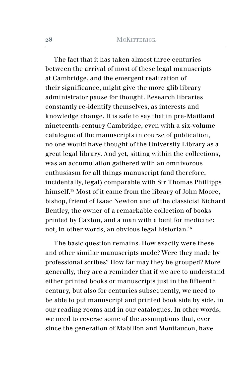The fact that it has taken almost three centuries between the arrival of most of these legal manuscripts at Cambridge, and the emergent realization of their significance, might give the more glib library administrator pause for thought. Research libraries constantly re-identify themselves, as interests and knowledge change. It is safe to say that in pre-Maitland nineteenth-century Cambridge, even with a six-volume catalogue of the manuscripts in course of publication, no one would have thought of the University Library as a great legal library. And yet, sitting within the collections, was an accumulation gathered with an omnivorous enthusiasm for all things manuscript (and therefore, incidentally, legal) comparable with Sir Thomas Phillipps himself.15 Most of it came from the library of John Moore, bishop, friend of Isaac Newton and of the classicist Richard Bentley, the owner of a remarkable collection of books printed by Caxton, and a man with a bent for medicine: not, in other words, an obvious legal historian.16

The basic question remains. How exactly were these and other similar manuscripts made? Were they made by professional scribes? How far may they be grouped? More generally, they are a reminder that if we are to understand either printed books or manuscripts just in the fifteenth century, but also for centuries subsequently, we need to be able to put manuscript and printed book side by side, in our reading rooms and in our catalogues. In other words, we need to reverse some of the assumptions that, ever since the generation of Mabillon and Montfaucon, have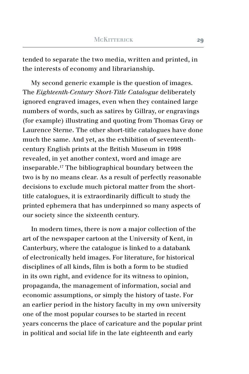tended to separate the two media, written and printed, in the interests of economy and librarianship.

My second generic example is the question of images. The *Eighteenth-Century Short-Title Catalogue* deliberately ignored engraved images, even when they contained large numbers of words, such as satires by Gillray, or engravings (for example) illustrating and quoting from Thomas Gray or Laurence Sterne. The other short-title catalogues have done much the same. And yet, as the exhibition of seventeenthcentury English prints at the British Museum in 1998 revealed, in yet another context, word and image are inseparable.17 The bibliographical boundary between the two is by no means clear. As a result of perfectly reasonable decisions to exclude much pictoral matter from the shorttitle catalogues, it is extraordinarily difficult to study the printed ephemera that has underpinned so many aspects of our society since the sixteenth century.

In modern times, there is now a major collection of the art of the newspaper cartoon at the University of Kent, in Canterbury, where the catalogue is linked to a databank of electronically held images. For literature, for historical disciplines of all kinds, film is both a form to be studied in its own right, and evidence for its witness to opinion, propaganda, the management of information, social and economic assumptions, or simply the history of taste. For an earlier period in the history faculty in my own university one of the most popular courses to be started in recent years concerns the place of caricature and the popular print in political and social life in the late eighteenth and early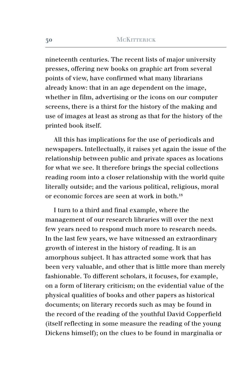nineteenth centuries. The recent lists of major university presses, offering new books on graphic art from several points of view, have confirmed what many librarians already know: that in an age dependent on the image, whether in film, advertising or the icons on our computer screens, there is a thirst for the history of the making and use of images at least as strong as that for the history of the printed book itself.

All this has implications for the use of periodicals and newspapers. Intellectually, it raises yet again the issue of the relationship between public and private spaces as locations for what we see. It therefore brings the special collections reading room into a closer relationship with the world quite literally outside; and the various political, religious, moral or economic forces are seen at work in both.18

I turn to a third and final example, where the management of our research libraries will over the next few years need to respond much more to research needs. In the last few years, we have witnessed an extraordinary growth of interest in the history of reading. It is an amorphous subject. It has attracted some work that has been very valuable, and other that is little more than merely fashionable. To different scholars, it focuses, for example, on a form of literary criticism; on the evidential value of the physical qualities of books and other papers as historical documents; on literary records such as may be found in the record of the reading of the youthful David Copperfield (itself reflecting in some measure the reading of the young Dickens himself); on the clues to be found in marginalia or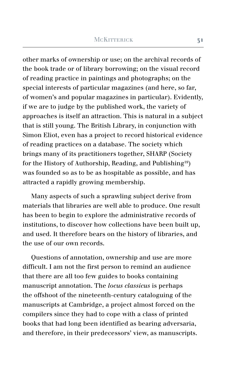other marks of ownership or use; on the archival records of the book trade or of library borrowing; on the visual record of reading practice in paintings and photographs; on the special interests of particular magazines (and here, so far, of women's and popular magazines in particular). Evidently, if we are to judge by the published work, the variety of approaches is itself an attraction. This is natural in a subject that is still young. The British Library, in conjunction with Simon Eliot, even has a project to record historical evidence of reading practices on a database. The society which brings many of its practitioners together, SHARP (Society for the History of Authorship, Reading, and Publishing<sup>19</sup>) was founded so as to be as hospitable as possible, and has attracted a rapidly growing membership.

Many aspects of such a sprawling subject derive from materials that libraries are well able to produce. One result has been to begin to explore the administrative records of institutions, to discover how collections have been built up, and used. It therefore bears on the history of libraries, and the use of our own records.

Questions of annotation, ownership and use are more difficult. I am not the first person to remind an audience that there are all too few guides to books containing manuscript annotation. The *locus classicus* is perhaps the offshoot of the nineteenth-century cataloguing of the manuscripts at Cambridge, a project almost forced on the compilers since they had to cope with a class of printed books that had long been identified as bearing adversaria, and therefore, in their predecessors' view, as manuscripts.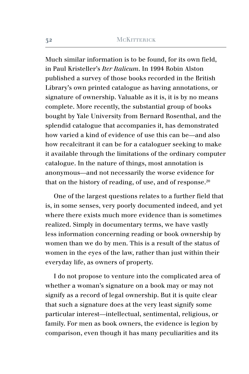Much similar information is to be found, for its own field, in Paul Kristeller's *Iter Italicum*. In 1994 Robin Alston published a survey of those books recorded in the British Library's own printed catalogue as having annotations, or signature of ownership. Valuable as it is, it is by no means complete. More recently, the substantial group of books bought by Yale University from Bernard Rosenthal, and the splendid catalogue that accompanies it, has demonstrated how varied a kind of evidence of use this can be—and also how recalcitrant it can be for a cataloguer seeking to make it available through the limitations of the ordinary computer catalogue. In the nature of things, most annotation is anonymous—and not necessarily the worse evidence for that on the history of reading, of use, and of response.<sup>20</sup>

One of the largest questions relates to a further field that is, in some senses, very poorly documented indeed, and yet where there exists much more evidence than is sometimes realized. Simply in documentary terms, we have vastly less information concerning reading or book ownership by women than we do by men. This is a result of the status of women in the eyes of the law, rather than just within their everyday life, as owners of property.

I do not propose to venture into the complicated area of whether a woman's signature on a book may or may not signify as a record of legal ownership. But it is quite clear that such a signature does at the very least signify some particular interest—intellectual, sentimental, religious, or family. For men as book owners, the evidence is legion by comparison, even though it has many peculiarities and its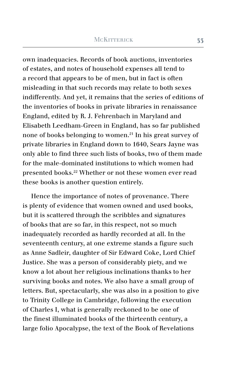own inadequacies. Records of book auctions, inventories of estates, and notes of household expenses all tend to a record that appears to be of men, but in fact is often misleading in that such records may relate to both sexes indifferently. And yet, it remains that the series of editions of the inventories of books in private libraries in renaissance England, edited by R. J. Fehrenbach in Maryland and Elisabeth Leedham-Green in England, has so far published none of books belonging to women.21 In his great survey of private libraries in England down to 1640, Sears Jayne was only able to find three such lists of books, two of them made for the male-dominated institutions to which women had presented books.22 Whether or not these women ever read these books is another question entirely.

Hence the importance of notes of provenance. There is plenty of evidence that women owned and used books, but it is scattered through the scribbles and signatures of books that are so far, in this respect, not so much inadequately recorded as hardly recorded at all. In the seventeenth century, at one extreme stands a figure such as Anne Sadleir, daughter of Sir Edward Coke, Lord Chief Justice. She was a person of considerably piety, and we know a lot about her religious inclinations thanks to her surviving books and notes. We also have a small group of letters. But, spectacularly, she was also in a position to give to Trinity College in Cambridge, following the execution of Charles I, what is generally reckoned to be one of the finest illuminated books of the thirteenth century, a large folio Apocalypse, the text of the Book of Revelations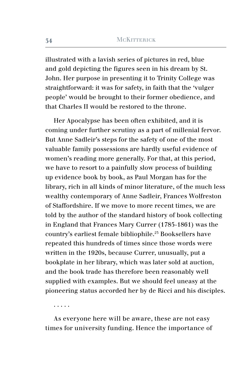illustrated with a lavish series of pictures in red, blue and gold depicting the figures seen in his dream by St. John. Her purpose in presenting it to Trinity College was straightforward: it was for safety, in faith that the 'vulger people' would be brought to their former obedience, and that Charles II would be restored to the throne.

Her Apocalypse has been often exhibited, and it is coming under further scrutiny as a part of millenial fervor. But Anne Sadleir's steps for the safety of one of the most valuable family possessions are hardly useful evidence of women's reading more generally. For that, at this period, we have to resort to a painfully slow process of building up evidence book by book, as Paul Morgan has for the library, rich in all kinds of minor literature, of the much less wealthy contemporary of Anne Sadleir, Frances Wolfreston of Staffordshire. If we move to more recent times, we are told by the author of the standard history of book collecting in England that Frances Mary Currer (1785-1861) was the country's earliest female bibliophile.23 Booksellers have repeated this hundreds of times since those words were written in the 1920s, because Currer, unusually, put a bookplate in her library, which was later sold at auction, and the book trade has therefore been reasonably well supplied with examples. But we should feel uneasy at the pioneering status accorded her by de Ricci and his disciples.

. . . . .

As everyone here will be aware, these are not easy times for university funding. Hence the importance of

**34**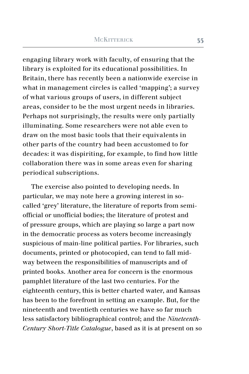engaging library work with faculty, of ensuring that the library is exploited for its educational possibilities. In Britain, there has recently been a nationwide exercise in what in management circles is called 'mapping'; a survey of what various groups of users, in different subject areas, consider to be the most urgent needs in libraries. Perhaps not surprisingly, the results were only partially illuminating. Some researchers were not able even to draw on the most basic tools that their equivalents in other parts of the country had been accustomed to for decades: it was dispiriting, for example, to find how little collaboration there was in some areas even for sharing periodical subscriptions.

The exercise also pointed to developing needs. In particular, we may note here a growing interest in socalled 'grey' literature, the literature of reports from semiofficial or unofficial bodies; the literature of protest and of pressure groups, which are playing so large a part now in the democratic process as voters become increasingly suspicious of main-line political parties. For libraries, such documents, printed or photocopied, can tend to fall midway between the responsibilities of manuscripts and of printed books. Another area for concern is the enormous pamphlet literature of the last two centuries. For the eighteenth century, this is better charted water, and Kansas has been to the forefront in setting an example. But, for the nineteenth and twentieth centuries we have so far much less satisfactory bibliographical control; and the *Nineteenth-Century Short-Title Catalogue*, based as it is at present on so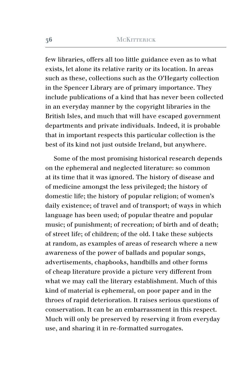few libraries, offers all too little guidance even as to what exists, let alone its relative rarity or its location. In areas such as these, collections such as the O'Hegarty collection in the Spencer Library are of primary importance. They include publications of a kind that has never been collected in an everyday manner by the copyright libraries in the British Isles, and much that will have escaped government departments and private individuals. Indeed, it is probable that in important respects this particular collection is the best of its kind not just outside Ireland, but anywhere.

Some of the most promising historical research depends on the ephemeral and neglected literature: so common at its time that it was ignored. The history of disease and of medicine amongst the less privileged; the history of domestic life; the history of popular religion; of women's daily existence; of travel and of transport; of ways in which language has been used; of popular theatre and popular music; of punishment; of recreation; of birth and of death; of street life; of children; of the old. I take these subjects at random, as examples of areas of research where a new awareness of the power of ballads and popular songs, advertisements, chapbooks, handbills and other forms of cheap literature provide a picture very different from what we may call the literary establishment. Much of this kind of material is ephemeral, on poor paper and in the throes of rapid deterioration. It raises serious questions of conservation. It can be an embarrassment in this respect. Much will only be preserved by reserving it from everyday use, and sharing it in re-formatted surrogates.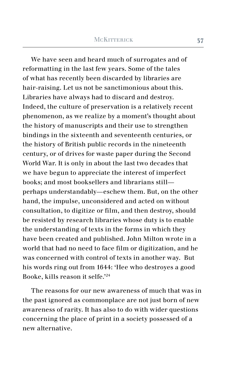We have seen and heard much of surrogates and of reformatting in the last few years. Some of the tales of what has recently been discarded by libraries are hair-raising. Let us not be sanctimonious about this. Libraries have always had to discard and destroy. Indeed, the culture of preservation is a relatively recent phenomenon, as we realize by a moment's thought about the history of manuscripts and their use to strengthen bindings in the sixteenth and seventeenth centuries, or the history of British public records in the nineteenth century, or of drives for waste paper during the Second World War. It is only in about the last two decades that we have begun to appreciate the interest of imperfect books; and most booksellers and librarians still perhaps understandably—eschew them. But, on the other hand, the impulse, unconsidered and acted on without consultation, to digitize or film, and then destroy, should be resisted by research libraries whose duty is to enable the understanding of texts in the forms in which they have been created and published. John Milton wrote in a world that had no need to face film or digitization, and he was concerned with control of texts in another way. But his words ring out from 1644: 'Hee who destroyes a good Booke, kills reason it selfe.'24

The reasons for our new awareness of much that was in the past ignored as commonplace are not just born of new awareness of rarity. It has also to do with wider questions concerning the place of print in a society possessed of a new alternative.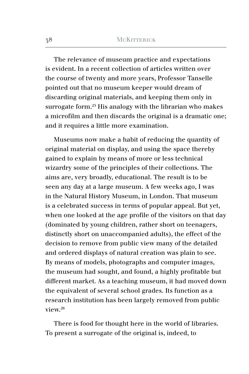The relevance of museum practice and expectations is evident. In a recent collection of articles written over the course of twenty and more years, Professor Tanselle pointed out that no museum keeper would dream of discarding original materials, and keeping them only in surrogate form.<sup>25</sup> His analogy with the librarian who makes a microfilm and then discards the original is a dramatic one; and it requires a little more examination.

Museums now make a habit of reducing the quantity of original material on display, and using the space thereby gained to explain by means of more or less technical wizardry some of the principles of their collections. The aims are, very broadly, educational. The result is to be seen any day at a large museum. A few weeks ago, I was in the Natural History Museum, in London. That museum is a celebrated success in terms of popular appeal. But yet, when one looked at the age profile of the visitors on that day (dominated by young children, rather short on teenagers, distinctly short on unaccompanied adults), the effect of the decision to remove from public view many of the detailed and ordered displays of natural creation was plain to see. By means of models, photographs and computer images, the museum had sought, and found, a highly profitable but different market. As a teaching museum, it had moved down the equivalent of several school grades. Its function as a research institution has been largely removed from public view.26

There is food for thought here in the world of libraries. To present a surrogate of the original is, indeed, to

**38**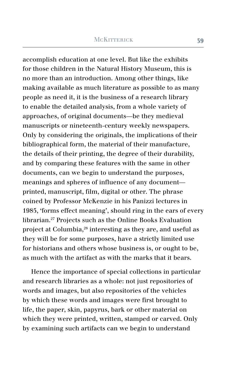accomplish education at one level. But like the exhibits for those children in the Natural History Museum, this is no more than an introduction. Among other things, like making available as much literature as possible to as many people as need it, it is the business of a research library to enable the detailed analysis, from a whole variety of approaches, of original documents—be they medieval manuscripts or nineteenth-century weekly newspapers. Only by considering the originals, the implications of their bibliographical form, the material of their manufacture, the details of their printing, the degree of their durability, and by comparing these features with the same in other documents, can we begin to understand the purposes, meanings and spheres of influence of any document printed, manuscript, film, digital or other. The phrase coined by Professor McKenzie in his Panizzi lectures in 1985, 'forms effect meaning', should ring in the ears of every librarian.27 Projects such as the Online Books Evaluation project at Columbia,28 interesting as they are, and useful as they will be for some purposes, have a strictly limited use for historians and others whose business is, or ought to be, as much with the artifact as with the marks that it bears.

Hence the importance of special collections in particular and research libraries as a whole: not just repositories of words and images, but also repositories of the vehicles by which these words and images were first brought to life, the paper, skin, papyrus, bark or other material on which they were printed, written, stamped or carved. Only by examining such artifacts can we begin to understand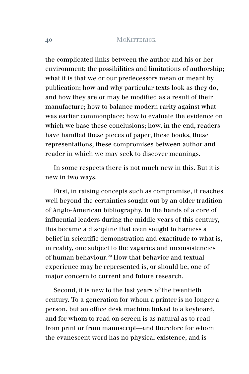the complicated links between the author and his or her environment; the possibilities and limitations of authorship; what it is that we or our predecessors mean or meant by publication; how and why particular texts look as they do, and how they are or may be modified as a result of their manufacture; how to balance modern rarity against what was earlier commonplace; how to evaluate the evidence on which we base these conclusions; how, in the end, readers have handled these pieces of paper, these books, these representations, these compromises between author and reader in which we may seek to discover meanings.

In some respects there is not much new in this. But it is new in two ways.

First, in raising concepts such as compromise, it reaches well beyond the certainties sought out by an older tradition of Anglo-American bibliography. In the hands of a core of influential leaders during the middle years of this century, this became a discipline that even sought to harness a belief in scientific demonstration and exactitude to what is, in reality, one subject to the vagaries and inconsistencies of human behaviour.29 How that behavior and textual experience may be represented is, or should be, one of major concern to current and future research.

Second, it is new to the last years of the twentieth century. To a generation for whom a printer is no longer a person, but an office desk machine linked to a keyboard, and for whom to read on screen is as natural as to read from print or from manuscript—and therefore for whom the evanescent word has no physical existence, and is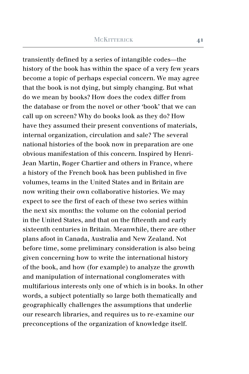transiently defined by a series of intangible codes—the history of the book has within the space of a very few years become a topic of perhaps especial concern. We may agree that the book is not dying, but simply changing. But what do we mean by books? How does the codex differ from the database or from the novel or other 'book' that we can call up on screen? Why do books look as they do? How have they assumed their present conventions of materials, internal organization, circulation and sale? The several national histories of the book now in preparation are one obvious manifestation of this concern. Inspired by Henri-Jean Martin, Roger Chartier and others in France, where a history of the French book has been published in five volumes, teams in the United States and in Britain are now writing their own collaborative histories. We may expect to see the first of each of these two series within the next six months: the volume on the colonial period in the United States, and that on the fifteenth and early sixteenth centuries in Britain. Meanwhile, there are other plans afoot in Canada, Australia and New Zealand. Not before time, some preliminary consideration is also being given concerning how to write the international history of the book, and how (for example) to analyze the growth and manipulation of international conglomerates with multifarious interests only one of which is in books. In other words, a subject potentially so large both thematically and geographically challenges the assumptions that underlie our research libraries, and requires us to re-examine our preconceptions of the organization of knowledge itself.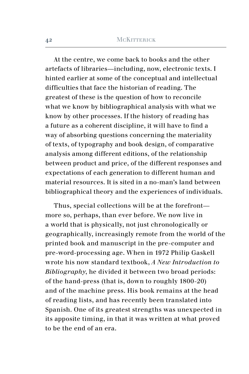At the centre, we come back to books and the other artefacts of libraries—including, now, electronic texts. I hinted earlier at some of the conceptual and intellectual difficulties that face the historian of reading. The greatest of these is the question of how to reconcile what we know by bibliographical analysis with what we know by other processes. If the history of reading has a future as a coherent discipline, it will have to find a way of absorbing questions concerning the materiality of texts, of typography and book design, of comparative analysis among different editions, of the relationship between product and price, of the different responses and expectations of each generation to different human and material resources. It is sited in a no-man's land between bibliographical theory and the experiences of individuals.

Thus, special collections will be at the forefront more so, perhaps, than ever before. We now live in a world that is physically, not just chronologically or geographically, increasingly remote from the world of the printed book and manuscript in the pre-computer and pre-word-processing age. When in 1972 Philip Gaskell wrote his now standard textbook, *A New Introduction to Bibliography*, he divided it between two broad periods: of the hand-press (that is, down to roughly 1800-20) and of the machine press. His book remains at the head of reading lists, and has recently been translated into Spanish. One of its greatest strengths was unexpected in its apposite timing, in that it was written at what proved to be the end of an era.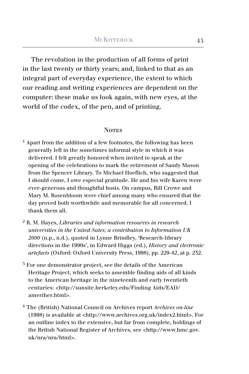The revolution in the production of all forms of print in the last twenty or thirty years; and, linked to that as an integral part of everyday experience, the extent to which our reading and writing experiences are dependent on the computer: these make us look again, with new eyes, at the world of the codex, of the pen, and of printing.

#### **NOTES**

- $<sup>1</sup>$  Apart from the addition of a few footnotes, the following has been</sup> generally left in the sometimes informal style in which it was delivered. I felt greatly honored when invited to speak at the opening of the celebrations to mark the retirement of Sandy Mason from the Spencer Library. To Michael Hoeflich, who suggested that I should come, I owe especial gratitude. He and his wife Karen were ever-generous and thoughtful hosts. On campus, Bill Crowe and Mary M. Rosenbloom were chief among many who ensured that the day proved both worthwhile and memorable for all concerned. I thank them all.
- <sup>2</sup> R. M. Hayes, *Libraries and information resources in research universities in the United Sates; a contribution to Information UK 2000* (n.p., n.d.), quoted in Lynne Brindley, 'Research-library directions in the 1990s', in Edward Higgs (ed.), *History and electronic artefacts* (Oxford: Oxford University Press, 1998), pp. 229-42, at p. 232.
- <sup>3</sup> For one demonstrator project, see the details of the American Heritage Project, which seeks to assemble finding aids of all kinds to the American heritage in the nineteenth and early twentieth centuries: <http://sunsite.berkeley.edu/Finding Aids/EAD/ ameriher.html>.
- <sup>4</sup> The (British) National Council on Archives report *Archives on-line* (1998) is available at <http://www.archives.org.uk/index2.html>. For an outline index to the extensive, but far from complete, holdings of the British National Register of Archives, see <http://www.hmc.gov. uk/nra/nra/html>.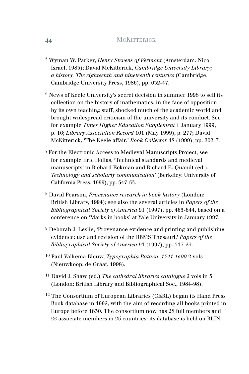- <sup>5</sup> Wyman W. Parker, *Henry Stevens of Vermont* (Amsterdam: Nico Israel, 1983); David McKitterick, *Cambridge University Library; a history. The eighteenth and nineteenth centuries* (Cambridge: Cambridge University Press, 1986), pp. 632-47.
- <sup>6</sup> News of Keele University's secret decision in summer 1998 to sell its collection on the history of mathematics, in the face of opposition by its own teaching staff, shocked much of the academic world and brought widespread criticism of the university and its conduct. See for example *Times Higher Education Supplement* 1 January 1999, p. 16; *Library Association Record* 101 (May 1999), p. 277; David McKitterick, 'The Keele affair,' *Book Collector* 48 (1999), pp. 202-7.
- <sup>7</sup> For the Electronic Access to Medieval Manuscripts Project, see for example Eric Hollas, 'Technical standards and medieval manuscripts' in Richard Eckman and Richard E. Quandt (ed.), *Technology and scholarly communication*' (Berkeley: University of California Press, 1999), pp. 347-53.
- <sup>8</sup> David Pearson, *Provenance research in book history* (London: British Library, 1994); see also the several articles in *Papers of the Bibliographical Society of America* 91 (1997), pp. 463-644, based on a conference on 'Marks in books' at Yale University in January 1997.
- $9$  Deborah J. Leslie, 'Provenance evidence and printing and publishing evidence: use and revision of the RBMS Thesauri,' *Papers of the Bibliographical Society of America* 91 (1997), pp. 517-23.
- <sup>10</sup> Paul Valkema Blouw, *Typographia Batava, 1541-1600* 2 vols (Nieuwkoop: de Graaf, 1998).
- <sup>11</sup> David J. Shaw (ed.) *The cathedral libraries catalogue* 2 vols in 3 (London: British Library and Bibliographical Soc., 1984-98).
- $12$  The Consortium of European Libraries (CERL) began its Hand Press Book database in 1992, with the aim of recording all books printed in Europe before 1830. The consortium now has 28 full members and 22 associate members in 25 countries: its database is held on RLIN.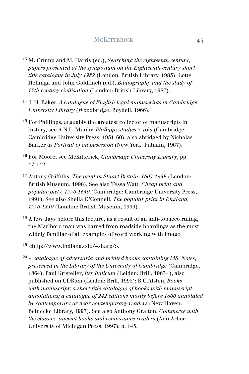- <sup>13</sup> M. Crump and M. Harris (ed.), *Searching the eighteenth century; papers presented at the symposium on the Eighteenth century short title catalogue in July 1982* (London: British Library, 1983); Lotte Hellinga and John Goldfinch (ed.), *Bibliography and the study of 15th-century civilisation* (London: British Library, 1987).
- <sup>14</sup> J. H. Baker, *A catalogue of English legal manuscripts in Cambridge University Library* (Woodbridge: Boydell, 1966).
- <sup>15</sup> For Phillipps, arguably the greatest collector of manuscripts in history, see A.N.L. Munby, *Phillipps studies* 5 vols (Cambridge: Cambridge University Press, 1951-60), also abridged by Nicholas Barker as *Portrait of an obsession* (New York: Putnam, 1967).
- <sup>16</sup> For Moore, see McKitterick, *Cambridge University Library*, pp. 47-142.
- <sup>17</sup> Antony Griffiths, *The print in Stuart Britain, 1603-1689* (London: British Museum, 1998). See also Tessa Watt, *Cheap print and popular piety, 1550-1640* (Cambridge: Cambridge University Press, 1991). See also Sheila O'Connell, *The popular print in England, 1550-1850* (London: British Museum, 1999).
- 18 A few days before this lecture, as a result of an anti-tobacco ruling, the Marlboro man was barred from roadside hoardings as the most widely familiar of all examples of word working with image.
- <sup>19</sup> <http://www.indiana.edu/~sharp/>.
- <sup>20</sup> *A catalogue of adversaria and printed books containing MS. Notes, preserved in the Library of the University of Cambridge* (Cambridge, 1864); Paul Kristeller, *Iter Italicum* (Leiden: Brill, 1963- ), also published on CDRom (Leiden: Brill, 1995); R.C.Alston, *Books with manuscript; a short title catalogue of books with manuscript annotations; a catalogue of 242 editions mostly before 1600 annotated by contemporary or near-contemporary readers* (New Haven: Beinecke Library, 1997). See also Anthony Grafton, *Commerce with the classics: ancient books and renaissance readers* (Ann Arbor: University of Michigan Press, 1997), p. 143.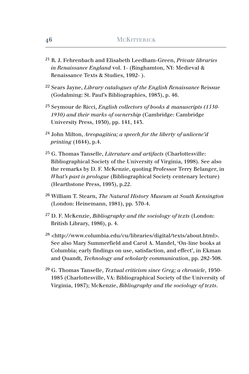- <sup>21</sup> R. J. Fehrenbach and Elisabeth Leedham-Green, *Private libraries in Renaissance England* vol. 1- (Binghamton, NY: Medieval & Renaissance Texts & Studies, 1992- ).
- <sup>22</sup> Sears Jayne, *Library catalogues of the English Renaissance* Reissue (Godalming: St. Paul's Bibliographies, 1983), p. 46.
- <sup>23</sup> Seymour de Ricci, *English collectors of books & manuscripts (1530- 1930) and their marks of ownership* (Cambridge: Cambridge University Press, 1930), pp. 141, 143.
- 24 John Milton, *Areopagitica; a speech for the liberty of unlicenc'd printing* (1644), p.4.
- 25 G. Thomas Tanselle, *Literature and artifacts* (Charlottesville: Bibliographical Society of the University of Virginia, 1998). See also the remarks by D. F. McKenzie, quoting Professor Terry Belanger, in *What's past is prologue* (Bibliographical Society centenary lecture) (Hearthstone Press, 1993), p.22.
- <sup>26</sup> William T. Stearn, *The Natural History Museum at South Kensington*  (London: Heinemann, 1981), pp. 370-4.
- <sup>27</sup> D. F. McKenzie, *Bibliography and the sociology of texts* (London: British Library, 1986), p. 4.
- <sup>28</sup> <http://www.columbia.edu/cu/libraries/digital/texts/about.html>. See also Mary Summerfield and Carol A. Mandel, 'On-line books at Columbia; early findings on use, satisfaction, and effect', in Ekman and Quandt, *Technology and scholarly communication*, pp. 282-308.
- <sup>29</sup> G. Thomas Tanselle, *Textual criticism since Greg; a chronicle*, 1950- 1985 (Charlottesville, VA: Bibliographical Society of the University of Virginia, 1987); McKenzie, *Bibliography and the sociology of texts*.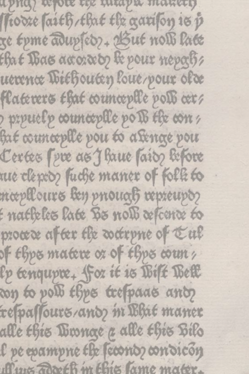apna) refole tex intapir manety ftodze faith, that the garifon is p ge tyme adupsed ?- Azut noll late that Bas accorded the pour mepoch uexente Wiehouten loue/pour olde flaterers that counceplle poli cer? prpuelp counceplle pois the con hat counceplle pou to a senge pou Certes (pre as J haue (ais) before nue clepto fuche maner of folk to mæpllours ben priouaß repreupo? f natheles late Bs nolb refcente to procede after the detrpne of tul of thps matere or of thps count, lp tenqupre. for it is Wilt West to poll thes trespaces and respassours/and m Bhit maner alle this Winnae a alle this Bilo l pe epampne the feconoz condicon Aux Toxeth m this lame mater.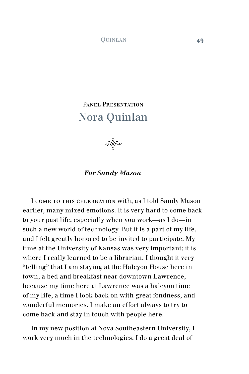# PANEL PRESENTATION Nora Quinlan

 $\bigotimes$ 

## *For Sandy Mason*

I come to this celebration with, as I told Sandy Mason earlier, many mixed emotions. It is very hard to come back to your past life, especially when you work—as I do—in such a new world of technology. But it is a part of my life, and I felt greatly honored to be invited to participate. My time at the University of Kansas was very important; it is where I really learned to be a librarian. I thought it very "telling" that I am staying at the Halcyon House here in town, a bed and breakfast near downtown Lawrence, because my time here at Lawrence was a halcyon time of my life, a time I look back on with great fondness, and wonderful memories. I make an effort always to try to come back and stay in touch with people here.

In my new position at Nova Southeastern University, I work very much in the technologies. I do a great deal of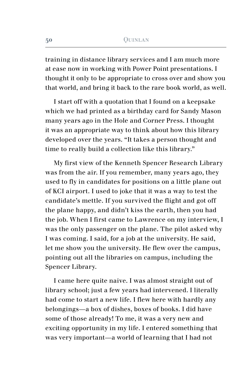training in distance library services and I am much more at ease now in working with Power Point presentations. I thought it only to be appropriate to cross over and show you that world, and bring it back to the rare book world, as well.

I start off with a quotation that I found on a keepsake which we had printed as a birthday card for Sandy Mason many years ago in the Hole and Corner Press. I thought it was an appropriate way to think about how this library developed over the years. "It takes a person thought and time to really build a collection like this library."

My first view of the Kenneth Spencer Research Library was from the air. If you remember, many years ago, they used to fly in candidates for positions on a little plane out of KCI airport. I used to joke that it was a way to test the candidate's mettle. If you survived the flight and got off the plane happy, and didn't kiss the earth, then you had the job. When I first came to Lawrence on my interview, I was the only passenger on the plane. The pilot asked why I was coming. I said, for a job at the university. He said, let me show you the university. He flew over the campus, pointing out all the libraries on campus, including the Spencer Library.

I came here quite naive. I was almost straight out of library school; just a few years had intervened. I literally had come to start a new life. I flew here with hardly any belongings—a box of dishes, boxes of books. I did have some of those already! To me, it was a very new and exciting opportunity in my life. I entered something that was very important—a world of learning that I had not

**50**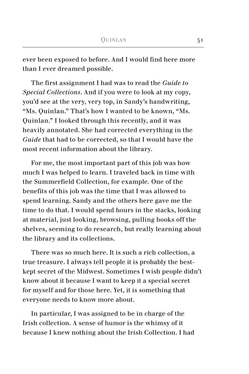ever been exposed to before. And I would find here more than I ever dreamed possible.

The first assignment I had was to read the *Guide to Special Collections*. And if you were to look at my copy, you'd see at the very, very top, in Sandy's handwriting, "Ms. Quinlan." That's how I wanted to be known, "Ms. Quinlan." I looked through this recently, and it was heavily annotated. She had corrected everything in the *Guide* that had to be corrected, so that I would have the most recent information about the library.

For me, the most important part of this job was how much I was helped to learn. I traveled back in time with the Summerfield Collection, for example. One of the benefits of this job was the time that I was allowed to spend learning. Sandy and the others here gave me the time to do that. I would spend hours in the stacks, looking at material, just looking, browsing, pulling books off the shelves, seeming to do research, but really learning about the library and its collections.

There was so much here. It is such a rich collection, a true treasure. I always tell people it is probably the bestkept secret of the Midwest. Sometimes I wish people didn't know about it because I want to keep it a special secret for myself and for those here. Yet, it is something that everyone needs to know more about.

In particular, I was assigned to be in charge of the Irish collection. A sense of humor is the whimsy of it because I knew nothing about the Irish Collection. I had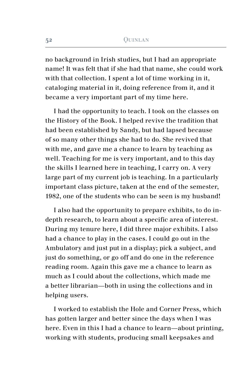no background in Irish studies, but I had an appropriate name! It was felt that if she had that name, she could work with that collection. I spent a lot of time working in it, cataloging material in it, doing reference from it, and it became a very important part of my time here.

I had the opportunity to teach. I took on the classes on the History of the Book. I helped revive the tradition that had been established by Sandy, but had lapsed because of so many other things she had to do. She revived that with me, and gave me a chance to learn by teaching as well. Teaching for me is very important, and to this day the skills I learned here in teaching, I carry on. A very large part of my current job is teaching. In a particularly important class picture, taken at the end of the semester, 1982, one of the students who can be seen is my husband!

I also had the opportunity to prepare exhibits, to do indepth research, to learn about a specific area of interest. During my tenure here, I did three major exhibits. I also had a chance to play in the cases. I could go out in the Ambulatory and just put in a display; pick a subject, and just do something, or go off and do one in the reference reading room. Again this gave me a chance to learn as much as I could about the collections, which made me a better librarian—both in using the collections and in helping users.

I worked to establish the Hole and Corner Press, which has gotten larger and better since the days when I was here. Even in this I had a chance to learn—about printing, working with students, producing small keepsakes and

**52**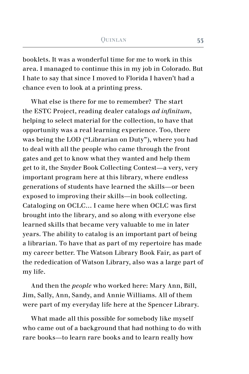booklets. It was a wonderful time for me to work in this area. I managed to continue this in my job in Colorado. But I hate to say that since I moved to Florida I haven't had a chance even to look at a printing press.

What else is there for me to remember? The start the ESTC Project, reading dealer catalogs *ad infinitum*, helping to select material for the collection, to have that opportunity was a real learning experience. Too, there was being the LOD ("Librarian on Duty"), where you had to deal with all the people who came through the front gates and get to know what they wanted and help them get to it, the Snyder Book Collecting Contest—a very, very important program here at this library, where endless generations of students have learned the skills—or been exposed to improving their skills—in book collecting. Cataloging on OCLC… I came here when OCLC was first brought into the library, and so along with everyone else learned skills that became very valuable to me in later years. The ability to catalog is an important part of being a librarian. To have that as part of my repertoire has made my career better. The Watson Library Book Fair, as part of the rededication of Watson Library, also was a large part of my life.

And then the *people* who worked here: Mary Ann, Bill, Jim, Sally, Ann, Sandy, and Annie Williams. All of them were part of my everyday life here at the Spencer Library.

What made all this possible for somebody like myself who came out of a background that had nothing to do with rare books—to learn rare books and to learn really how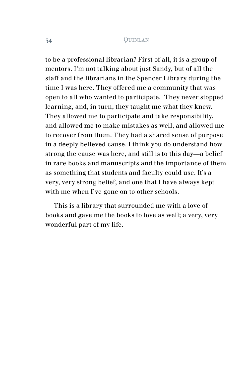to be a professional librarian? First of all, it is a group of mentors. I'm not talking about just Sandy, but of all the staff and the librarians in the Spencer Library during the time I was here. They offered me a community that was open to all who wanted to participate. They never stopped learning, and, in turn, they taught me what they knew. They allowed me to participate and take responsibility, and allowed me to make mistakes as well, and allowed me to recover from them. They had a shared sense of purpose in a deeply believed cause. I think you do understand how strong the cause was here, and still is to this day—a belief in rare books and manuscripts and the importance of them as something that students and faculty could use. It's a very, very strong belief, and one that I have always kept with me when I've gone on to other schools.

This is a library that surrounded me with a love of books and gave me the books to love as well; a very, very wonderful part of my life.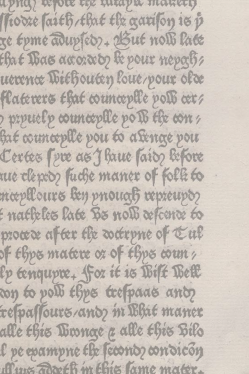apna) refole tex intapir manety ftodze faith, that the garifon is p ge tyme adupsed ?- Azut noll late that Bas accorded the pour mepoch uexente Wiehouten loue/pour olde flaterers that counceplle poli cer? prpuelp counceplle pois the con hat counceplle pou to a senge pou Certes (pre as J haue (ais) before nue clepto fuche maner of folk to mæpllours ben priouaß repreupo? f natheles late Bs nolb refcente to procede after the detrpne of tul of thps matere or of thps count, lp tenqupre. for it is Wilt West to poll thes trespaces and respassours/and m Bhit maner alle this Winnae a alle this Bilo l pe epampne the feconoz condicon Aux Toxeth m this lame mater.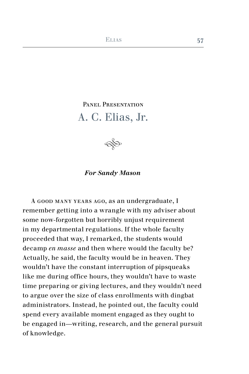# PANEL PRESENTATION A. C. Elias, Jr.

 $\bigotimes$ 

## *For Sandy Mason*

A good many years ago, as an undergraduate, I remember getting into a wrangle with my adviser about some now-forgotten but horribly unjust requirement in my departmental regulations. If the whole faculty proceeded that way, I remarked, the students would decamp *en masse* and then where would the faculty be? Actually, he said, the faculty would be in heaven. They wouldn't have the constant interruption of pipsqueaks like me during office hours, they wouldn't have to waste time preparing or giving lectures, and they wouldn't need to argue over the size of class enrollments with dingbat administrators. Instead, he pointed out, the faculty could spend every available moment engaged as they ought to be engaged in—writing, research, and the general pursuit of knowledge.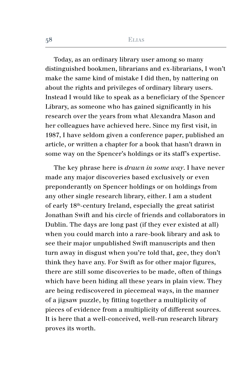Today, as an ordinary library user among so many distinguished bookmen, librarians and ex-librarians, I won't make the same kind of mistake I did then, by nattering on about the rights and privileges of ordinary library users. Instead I would like to speak as a beneficiary of the Spencer Library, as someone who has gained significantly in his research over the years from what Alexandra Mason and her colleagues have achieved here. Since my first visit, in 1987, I have seldom given a conference paper, published an article, or written a chapter for a book that hasn't drawn in some way on the Spencer's holdings or its staff's expertise.

The key phrase here is *drawn in some way*. I have never made any major discoveries based exclusively or even preponderantly on Spencer holdings or on holdings from any other single research library, either. I am a student of early 18th-century Ireland, especially the great satirist Jonathan Swift and his circle of friends and collaborators in Dublin. The days are long past (if they ever existed at all) when you could march into a rare-book library and ask to see their major unpublished Swift manuscripts and then turn away in disgust when you're told that, gee, they don't think they have any. For Swift as for other major figures, there are still some discoveries to be made, often of things which have been hiding all these years in plain view. They are being rediscovered in piecemeal ways, in the manner of a jigsaw puzzle, by fitting together a multiplicity of pieces of evidence from a multiplicity of different sources. It is here that a well-conceived, well-run research library proves its worth.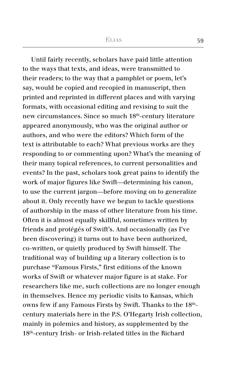Until fairly recently, scholars have paid little attention to the ways that texts, and ideas, were transmitted to their readers; to the way that a pamphlet or poem, let's say, would be copied and recopied in manuscript, then printed and reprinted in different places and with varying formats, with occasional editing and revising to suit the new circumstances. Since so much 18th-century literature appeared anonymously, who was the original author or authors, and who were the editors? Which form of the text is attributable to each? What previous works are they responding to or commenting upon? What's the meaning of their many topical references, to current personalities and events? In the past, scholars took great pains to identify the work of major figures like Swift—determining his canon, to use the current jargon—before moving on to generalize about it. Only recently have we begun to tackle questions of authorship in the mass of other literature from his time. Often it is almost equally skillful, sometimes written by friends and protégés of Swift's. And occasionally (as I've been discovering) it turns out to have been authorized, co-written, or quietly produced by Swift himself. The traditional way of building up a literary collection is to purchase "Famous Firsts," first editions of the known works of Swift or whatever major figure is at stake. For researchers like me, such collections are no longer enough in themselves. Hence my periodic visits to Kansas, which owns few if any Famous Firsts by Swift. Thanks to the 18<sup>th</sup>century materials here in the P.S. O'Hegarty Irish collection, mainly in polemics and history, as supplemented by the 18th-century Irish- or Irish-related titles in the Richard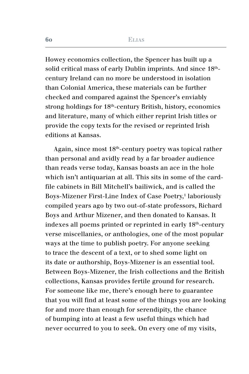Howey economics collection, the Spencer has built up a solid critical mass of early Dublin imprints. And since  $18<sup>th</sup>$ century Ireland can no more be understood in isolation than Colonial America, these materials can be further checked and compared against the Spencer's enviably strong holdings for 18th-century British, history, economics and literature, many of which either reprint Irish titles or provide the copy texts for the revised or reprinted Irish editions at Kansas.

Again, since most 18th-century poetry was topical rather than personal and avidly read by a far broader audience than reads verse today, Kansas boasts an ace in the hole which isn't antiquarian at all. This sits in some of the cardfile cabinets in Bill Mitchell's bailiwick, and is called the Boys-Mizener First-Line Index of Case Poetry,<sup>1</sup> laboriously compiled years ago by two out-of-state professors, Richard Boys and Arthur Mizener, and then donated to Kansas. It indexes all poems printed or reprinted in early 18th-century verse miscellanies, or anthologies, one of the most popular ways at the time to publish poetry. For anyone seeking to trace the descent of a text, or to shed some light on its date or authorship, Boys-Mizener is an essential tool. Between Boys-Mizener, the Irish collections and the British collections, Kansas provides fertile ground for research. For someone like me, there's enough here to guarantee that you will find at least some of the things you are looking for and more than enough for serendipity, the chance of bumping into at least a few useful things which had never occurred to you to seek. On every one of my visits,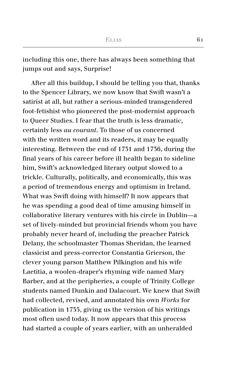including this one, there has always been something that jumps out and says, Surprise!

After all this buildup, I should be telling you that, thanks to the Spencer Library, we now know that Swift wasn't a satirist at all, but rather a serious-minded transgendered foot-fetishist who pioneered the post-modernist approach to Queer Studies. I fear that the truth is less dramatic, certainly less *au courant*. To those of us concerned with the written word and its readers, it may be equally interesting. Between the end of 1731 and 1736, during the final years of his career before ill health began to sideline him, Swift's acknowledged literary output slowed to a trickle. Culturally, politically, and economically, this was a period of tremendous energy and optimism in Ireland. What was Swift doing with himself? It now appears that he was spending a good deal of time amusing himself in collaborative literary ventures with his circle in Dublin—a set of lively-minded but provincial friends whom you have probably never heard of, including the preacher Patrick Delany, the schoolmaster Thomas Sheridan, the learned classicist and press-corrector Constantia Grierson, the clever young parson Matthew Pilkington and his wife Laetitia, a woolen-draper's rhyming wife named Mary Barber, and at the peripheries, a couple of Trinity College students named Dunkin and Dalacourt. We knew that Swift had collected, revised, and annotated his own *Works* for publication in 1735, giving us the version of his writings most often used today. It now appears that this process had started a couple of years earlier, with an unheralded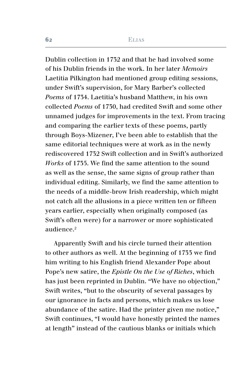Dublin collection in 1732 and that he had involved some of his Dublin friends in the work. In her later *Memoirs* Laetitia Pilkington had mentioned group editing sessions, under Swift's supervision, for Mary Barber's collected *Poems* of 1734. Laetitia's husband Matthew, in his own collected *Poems* of 1730, had credited Swift and some other unnamed judges for improvements in the text. From tracing and comparing the earlier texts of these poems, partly through Boys-Mizener, I've been able to establish that the same editorial techniques were at work as in the newly rediscovered 1732 Swift collection and in Swift's authorized *Works* of 1735. We find the same attention to the sound as well as the sense, the same signs of group rather than individual editing. Similarly, we find the same attention to the needs of a middle-brow Irish readership, which might not catch all the allusions in a piece written ten or fifteen years earlier, especially when originally composed (as Swift's often were) for a narrower or more sophisticated audience.2

Apparently Swift and his circle turned their attention to other authors as well. At the beginning of 1733 we find him writing to his English friend Alexander Pope about Pope's new satire, the *Epistle On the Use of Riches*, which has just been reprinted in Dublin. "We have no objection," Swift writes, "but to the obscurity of several passages by our ignorance in facts and persons, which makes us lose abundance of the satire. Had the printer given me notice," Swift continues, "I would have honestly printed the names at length" instead of the cautious blanks or initials which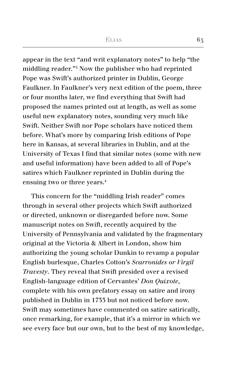appear in the text "and writ explanatory notes" to help "the middling reader."3 Now the publisher who had reprinted Pope was Swift's authorized printer in Dublin, George Faulkner. In Faulkner's very next edition of the poem, three or four months later, we find everything that Swift had proposed the names printed out at length, as well as some useful new explanatory notes, sounding very much like Swift. Neither Swift nor Pope scholars have noticed them before. What's more by comparing Irish editions of Pope here in Kansas, at several libraries in Dublin, and at the University of Texas I find that similar notes (some with new and useful information) have been added to all of Pope's satires which Faulkner reprinted in Dublin during the ensuing two or three years.4

This concern for the "middling Irish reader" comes through in several other projects which Swift authorized or directed, unknown or disregarded before now. Some manuscript notes on Swift, recently acquired by the University of Pennsylvania and validated by the fragmentary original at the Victoria & Albert in London, show him authorizing the young scholar Dunkin to revamp a popular English burlesque, Charles Cotton's *Scarronides or Virgil Travesty*. They reveal that Swift presided over a revised English-language edition of Cervantes' *Don Quixote*, complete with his own prefatory essay on satire and irony published in Dublin in 1733 but not noticed before now. Swift may sometimes have commented on satire satirically, once remarking, for example, that it's a mirror in which we see every face but our own, but to the best of my knowledge,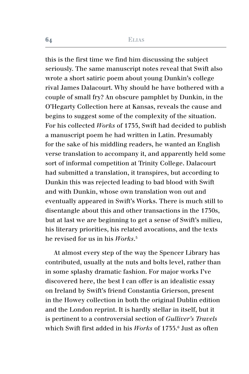this is the first time we find him discussing the subject seriously. The same manuscript notes reveal that Swift also wrote a short satiric poem about young Dunkin's college rival James Dalacourt. Why should he have bothered with a couple of small fry? An obscure pamphlet by Dunkin, in the O'Hegarty Collection here at Kansas, reveals the cause and begins to suggest some of the complexity of the situation. For his collected *Works* of 1735, Swift had decided to publish a manuscript poem he had written in Latin. Presumably for the sake of his middling readers, he wanted an English verse translation to accompany it, and apparently held some sort of informal competition at Trinity College. Dalacourt had submitted a translation, it transpires, but according to Dunkin this was rejected leading to bad blood with Swift and with Dunkin, whose own translation won out and eventually appeared in Swift's Works. There is much still to disentangle about this and other transactions in the 1730s, but at last we are beginning to get a sense of Swift's milieu, his literary priorities, his related avocations, and the texts he revised for us in his *Works*. 5

At almost every step of the way the Spencer Library has contributed, usually at the nuts and bolts level, rather than in some splashy dramatic fashion. For major works I've discovered here, the best I can offer is an idealistic essay on Ireland by Swift's friend Constantia Grierson, present in the Howey collection in both the original Dublin edition and the London reprint. It is hardly stellar in itself, but it is pertinent to a controversial section of *Gulliver's Travels* which Swift first added in his *Works* of 1735.6 Just as often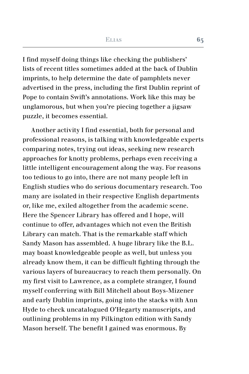I find myself doing things like checking the publishers' lists of recent titles sometimes added at the back of Dublin imprints, to help determine the date of pamphlets never advertised in the press, including the first Dublin reprint of Pope to contain Swift's annotations. Work like this may be unglamorous, but when you're piecing together a jigsaw puzzle, it becomes essential.

Another activity I find essential, both for personal and professional reasons, is talking with knowledgeable experts comparing notes, trying out ideas, seeking new research approaches for knotty problems, perhaps even receiving a little intelligent encouragement along the way. For reasons too tedious to go into, there are not many people left in English studies who do serious documentary research. Too many are isolated in their respective English departments or, like me, exiled altogether from the academic scene. Here the Spencer Library has offered and I hope, will continue to offer, advantages which not even the British Library can match. That is the remarkable staff which Sandy Mason has assembled. A huge library like the B.L. may boast knowledgeable people as well, but unless you already know them, it can be difficult fighting through the various layers of bureaucracy to reach them personally. On my first visit to Lawrence, as a complete stranger, I found myself conferring with Bill Mitchell about Boys-Mizener and early Dublin imprints, going into the stacks with Ann Hyde to check uncatalogued O'Hegarty manuscripts, and outlining problems in my Pilkington edition with Sandy Mason herself. The benefit I gained was enormous. By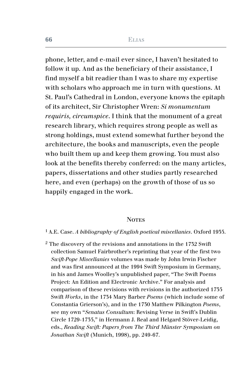phone, letter, and e-mail ever since, I haven't hesitated to follow it up. And as the beneficiary of their assistance, I find myself a bit readier than I was to share my expertise with scholars who approach me in turn with questions. At St. Paul's Cathedral in London, everyone knows the epitaph of its architect, Sir Christopher Wren: *Si monumentum requiris, circumspice*. I think that the monument of a great research library, which requires strong people as well as strong holdings, must extend somewhat further beyond the architecture, the books and manuscripts, even the people who built them up and keep them growing. You must also look at the benefits thereby conferred: on the many articles, papers, dissertations and other studies partly researched here, and even (perhaps) on the growth of those of us so happily engaged in the work.

#### **NOTES**

#### 1 A.E. Case. *A bibliography of English poetical miscellanies*. Oxford 1935.

 $2$  The discovery of the revisions and annotations in the 1732 Swift collection Samuel Fairbrother's reprinting that year of the first two *Swift-Pope Miscellanies* volumes was made by John Irwin Fischer and was first announced at the 1994 Swift Symposium in Germany, in his and James Woolley's unpublished paper, "The Swift Poems Project: An Edition and Electronic Archive." For analysis and comparison of these revisions with revisions in the authorized 1735 Swift *Works*, in the 1734 Mary Barber *Poems* (which include some of Constantia Grierson's), and in the 1730 Matthew Pilkington *Poems*, see my own "*Senatus Consultum*: Revising Verse in Swift's Dublin Circle 1729-1735," in Hermann J. Real and Helgard Stöver-Leidig, eds., *Reading Swift: Papers from The Third Münster Symposium on Jonathan Swift* (Munich, 1998), pp. 249-67.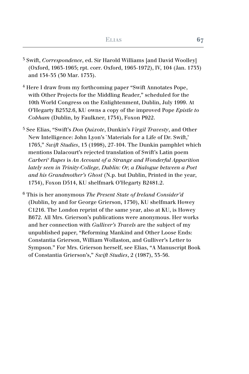- 3 Swift, *Correspondence*, ed. Sir Harold Williams [and David Woolley] (Oxford, 1963-1965; rpt. corr. Oxford, 1965-1972), IV, 104 (Jan. 1733) and 134-35 (30 Mar. 1733).
- 4 Here I draw from my forthcoming paper "Swift Annotates Pope, with Other Projects for the Middling Reader," scheduled for the 10th World Congress on the Enlightenment, Dublin, July 1999. At O'Hegarty B2532.6, KU owns a copy of the improved Pope *Epistle to Cobham* (Dublin, by Faulkner, 1734), Foxon P922.
- 5 See Elias, "Swift's *Don Quixote*, Dunkin's *Virgil Travesty*, and Other New Intelligence: John Lyon's `Materials for a Life of Dr. Swift,' 1765," *Swift Studies*, 13 (1998), 27-104. The Dunkin pamphlet which mentions Dalacourt's rejected translation of Swift's Latin poem *Carberi' Rupes* is *An Account of a Strange and Wonderful Apparition lately seen in Trinity-College, Dublin: Or, a Dialogue between a Poet and his Grandmother's Ghost* (N.p. but Dublin, Printed in the year, 1734), Foxon D514, KU shelfmark O'Hegarty B2481.2.
- 6 This is her anonymous *The Present State of Ireland Consider'd*  (Dublin, by and for George Grierson, 1730), KU shelfmark Howey C1216. The London reprint of the same year, also at KU, is Howey B672. All Mrs. Grierson's publications were anonymous. Her works and her connection with *Gulliver's Travels* are the subject of my unpublished paper, "Reforming Mankind and Other Loose Ends: Constantia Grierson, William Wollaston, and Gulliver's Letter to Sympson." For Mrs. Grierson herself, see Elias, "A Manuscript Book of Constantia Grierson's," *Swift Studies*, 2 (1987), 33-56.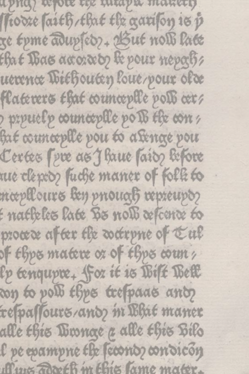apna) refole tex intapir manety ftodze faith, that the garifon is p ge tyme adupsed ?- Azut noll late that Bas accorded the pour mepoch uexente Wiehouten loue/pour olde flaterers that counceplle poli cer? prpuelp counceplle pois the con hat counceplle pou to a senge pou Certes (pre as J haue (ais) before nue clepto fuche maner of folk to mæpllours ben priouaß repreupo? f natheles late Bs nolb refcente to procede after the detrpne of tul of thps matere or of thps count, lp tenqupre. for it is Wilt West to poll thes trespaces and respassours/and m Bhit maner alle this Winnae a alle this Bilo l pe epampne the feconoz condicon Aux Toxeth m this lame mater.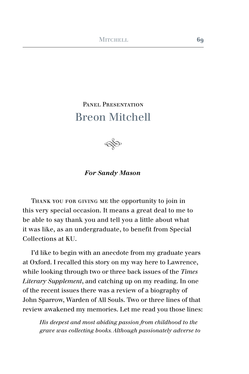## PANEL PRESENTATION Breon Mitchell



## *For Sandy Mason*

Thank you for giving me the opportunity to join in this very special occasion. It means a great deal to me to be able to say thank you and tell you a little about what it was like, as an undergraduate, to benefit from Special Collections at KU.

I'd like to begin with an anecdote from my graduate years at Oxford. I recalled this story on my way here to Lawrence, while looking through two or three back issues of the *Times Literary Supplement*, and catching up on my reading. In one of the recent issues there was a review of a biography of John Sparrow, Warden of All Souls. Two or three lines of that review awakened my memories. Let me read you those lines:

*His deepest and most abiding passion from childhood to the grave was collecting books. Although passionately adverse to*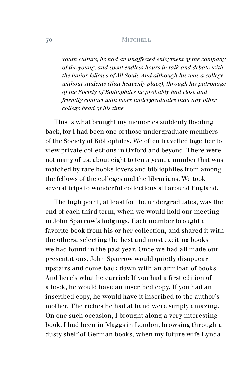*youth culture, he had an unaffected enjoyment of the company of the young, and spent endless hours in talk and debate with the junior fellows of All Souls. And although his was a college without students (that heavenly place), through his patronage of the Society of Bibliophiles he probably had close and friendly contact with more undergraduates than any other college head of his time.* 

This is what brought my memories suddenly flooding back, for I had been one of those undergraduate members of the Society of Bibliophiles. We often travelled together to view private collections in Oxford and beyond. There were not many of us, about eight to ten a year, a number that was matched by rare books lovers and bibliophiles from among the fellows of the colleges and the librarians. We took several trips to wonderful collections all around England.

The high point, at least for the undergraduates, was the end of each third term, when we would hold our meeting in John Sparrow's lodgings. Each member brought a favorite book from his or her collection, and shared it with the others, selecting the best and most exciting books we had found in the past year. Once we had all made our presentations, John Sparrow would quietly disappear upstairs and come back down with an armload of books. And here's what he carried: If you had a first edition of a book, he would have an inscribed copy. If you had an inscribed copy, he would have it inscribed to the author's mother. The riches he had at hand were simply amazing. On one such occasion, I brought along a very interesting book. I had been in Maggs in London, browsing through a dusty shelf of German books, when my future wife Lynda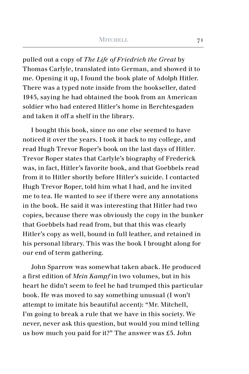pulled out a copy of *The Life of Friedrich the Great* by Thomas Carlyle, translated into German, and showed it to me. Opening it up, I found the book plate of Adolph Hitler. There was a typed note inside from the bookseller, dated 1945, saying he had obtained the book from an American soldier who had entered Hitler's home in Berchtesgaden and taken it off a shelf in the library.

I bought this book, since no one else seemed to have noticed it over the years. I took it back to my college, and read Hugh Trevor Roper's book on the last days of Hitler. Trevor Roper states that Carlyle's biography of Frederick was, in fact, Hitler's favorite book, and that Goebbels read from it to Hitler shortly before Hitler's suicide. I contacted Hugh Trevor Roper, told him what I had, and he invited me to tea. He wanted to see if there were any annotations in the book. He said it was interesting that Hitler had two copies, because there was obviously the copy in the bunker that Goebbels had read from, but that this was clearly Hitler's copy as well, bound in full leather, and retained in his personal library. This was the book I brought along for our end of term gathering.

John Sparrow was somewhat taken aback. He produced a first edition of *Mein Kampf* in two volumes, but in his heart he didn't seem to feel he had trumped this particular book. He was moved to say something unusual (I won't attempt to imitate his beautiful accent): "Mr. Mitchell, I'm going to break a rule that we have in this society. We never, never ask this question, but would you mind telling us how much you paid for it?" The answer was £5. John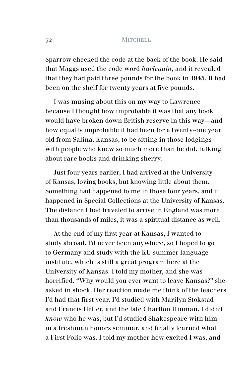Sparrow checked the code at the back of the book. He said that Maggs used the code word *harlequin*, and it revealed that they had paid three pounds for the book in 1945. It had been on the shelf for twenty years at five pounds.

I was musing about this on my way to Lawrence because I thought how improbable it was that any book would have broken down British reserve in this way—and how equally improbable it had been for a twenty-one year old from Salina, Kansas, to be sitting in those lodgings with people who knew so much more than he did, talking about rare books and drinking sherry.

Just four years earlier, I had arrived at the University of Kansas, loving books, but knowing little about them. Something had happened to me in those four years, and it happened in Special Collections at the University of Kansas. The distance I had traveled to arrive in England was more than thousands of miles, it was a spiritual distance as well.

At the end of my first year at Kansas, I wanted to study abroad. I'd never been anywhere, so I hoped to go to Germany and study with the KU summer language institute, which is still a great program here at the University of Kansas. I told my mother, and she was horrified. "Why would you ever want to leave Kansas?" she asked in shock. Her reaction made me think of the teachers I'd had that first year. I'd studied with Marilyn Stokstad and Francis Heller, and the late Charlton Hinman. I didn't *know* who he was, but I'd studied Shakespeare with him in a freshman honors seminar, and finally learned what a First Folio was. I told my mother how excited I was, and

**72**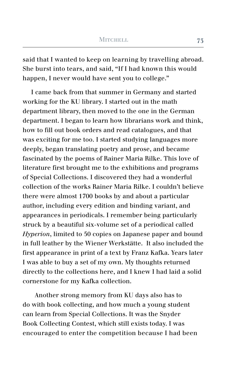said that I wanted to keep on learning by travelling abroad. She burst into tears, and said, "If I had known this would happen. I never would have sent you to college."

I came back from that summer in Germany and started working for the KU library. I started out in the math department library, then moved to the one in the German department. I began to learn how librarians work and think, how to fill out book orders and read catalogues, and that was exciting for me too. I started studying languages more deeply, began translating poetry and prose, and became fascinated by the poems of Rainer Maria Rilke. This love of literature first brought me to the exhibitions and programs of Special Collections. I discovered they had a wonderful collection of the works Rainer Maria Rilke. I couldn't believe there were almost 1700 books by and about a particular author, including every edition and binding variant, and appearances in periodicals. I remember being particularly struck by a beautiful six-volume set of a periodical called *Hyperion*, limited to 50 copies on Japanese paper and bound in full leather by the Wiener Werkstätte. It also included the first appearance in print of a text by Franz Kafka. Years later I was able to buy a set of my own. My thoughts returned directly to the collections here, and I knew I had laid a solid cornerstone for my Kafka collection.

 Another strong memory from KU days also has to do with book collecting, and how much a young student can learn from Special Collections. It was the Snyder Book Collecting Contest, which still exists today. I was encouraged to enter the competition because I had been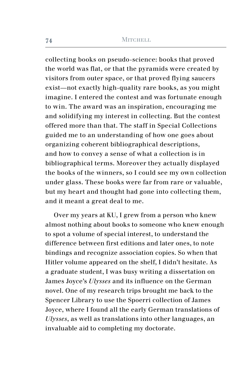collecting books on pseudo-science: books that proved the world was flat, or that the pyramids were created by visitors from outer space, or that proved flying saucers exist—not exactly high-quality rare books, as you might imagine. I entered the contest and was fortunate enough to win. The award was an inspiration, encouraging me and solidifying my interest in collecting. But the contest offered more than that. The staff in Special Collections guided me to an understanding of how one goes about organizing coherent bibliographical descriptions, and how to convey a sense of what a collection is in bibliographical terms. Moreover they actually displayed the books of the winners, so I could see my own collection under glass. These books were far from rare or valuable, but my heart and thought had gone into collecting them, and it meant a great deal to me.

Over my years at KU, I grew from a person who knew almost nothing about books to someone who knew enough to spot a volume of special interest, to understand the difference between first editions and later ones, to note bindings and recognize association copies. So when that Hitler volume appeared on the shelf, I didn't hesitate. As a graduate student, I was busy writing a dissertation on James Joyce's *Ulysses* and its influence on the German novel. One of my research trips brought me back to the Spencer Library to use the Spoerri collection of James Joyce, where I found all the early German translations of *Ulysses*, as well as translations into other languages, an invaluable aid to completing my doctorate.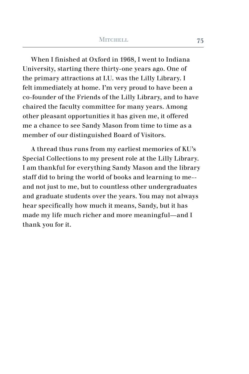When I finished at Oxford in 1968, I went to Indiana University, starting there thirty-one years ago. One of the primary attractions at I.U. was the Lilly Library. I felt immediately at home. I'm very proud to have been a co-founder of the Friends of the Lilly Library, and to have chaired the faculty committee for many years. Among other pleasant opportunities it has given me, it offered me a chance to see Sandy Mason from time to time as a member of our distinguished Board of Visitors.

A thread thus runs from my earliest memories of KU's Special Collections to my present role at the Lilly Library. I am thankful for everything Sandy Mason and the library staff did to bring the world of books and learning to me- and not just to me, but to countless other undergraduates and graduate students over the years. You may not always hear specifically how much it means, Sandy, but it has made my life much richer and more meaningful—and I thank you for it.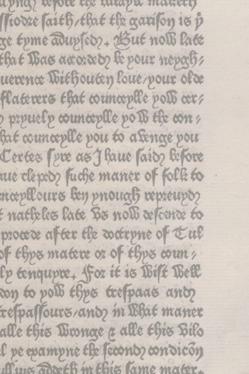apna) refole tex intapir manety ftodze faith, that the garifon is p ge tyme adupsed ?- Azut noll late that Bas accorded the pour mepoch uexente Wiehouten loue/pour olde flaterers that counceplle poli cer? prpuelp counceplle pois the con hat counceplle pou to a senge pou Certes (pre as J haue (ais) before nue clepto fuche maner of folk to mæpllours ben priouaß repreupo? f natheles late Bs nolb refcente to procede after the detrpne of tul of thps matere or of thps count, lp tenqupre. for it is Wilt West to poll thes trespaces and respassours/and m Bhit maner alle this Winnae a alle this Bilo l pe epampne the feconoz condicon Aux Toxeth m this lame mater.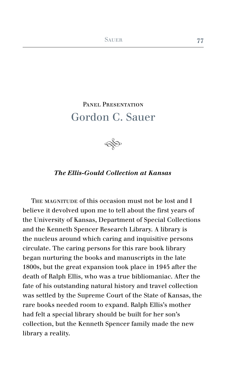## PANEL PRESENTATION Gordon C. Sauer



## *The Ellis-Gould Collection at Kansas*

THE MAGNITUDE of this occasion must not be lost and I believe it devolved upon me to tell about the first years of the University of Kansas, Department of Special Collections and the Kenneth Spencer Research Library. A library is the nucleus around which caring and inquisitive persons circulate. The caring persons for this rare book library began nurturing the books and manuscripts in the late 1800s, but the great expansion took place in 1945 after the death of Ralph Ellis, who was a true bibliomaniac. After the fate of his outstanding natural history and travel collection was settled by the Supreme Court of the State of Kansas, the rare books needed room to expand. Ralph Ellis's mother had felt a special library should be built for her son's collection, but the Kenneth Spencer family made the new library a reality.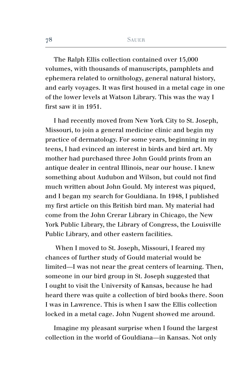The Ralph Ellis collection contained over 15,000 volumes, with thousands of manuscripts, pamphlets and ephemera related to ornithology, general natural history, and early voyages. It was first housed in a metal cage in one of the lower levels at Watson Library. This was the way I first saw it in 1951.

I had recently moved from New York City to St. Joseph, Missouri, to join a general medicine clinic and begin my practice of dermatology. For some years, beginning in my teens, I had evinced an interest in birds and bird art. My mother had purchased three John Gould prints from an antique dealer in central Illinois, near our house. I knew something about Audubon and Wilson, but could not find much written about John Gould. My interest was piqued, and I began my search for Gouldiana. In 1948, I published my first article on this British bird man. My material had come from the John Crerar Library in Chicago, the New York Public Library, the Library of Congress, the Louisville Public Library, and other eastern facilities.

 When I moved to St. Joseph, Missouri, I feared my chances of further study of Gould material would be limited—I was not near the great centers of learning. Then, someone in our bird group in St. Joseph suggested that I ought to visit the University of Kansas, because he had heard there was quite a collection of bird books there. Soon I was in Lawrence. This is when I saw the Ellis collection locked in a metal cage. John Nugent showed me around.

Imagine my pleasant surprise when I found the largest collection in the world of Gouldiana—in Kansas. Not only

**78**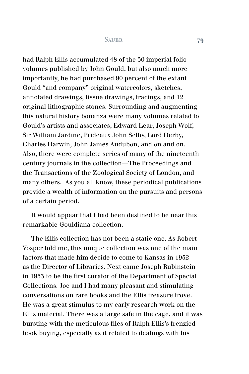had Ralph Ellis accumulated 48 of the 50 imperial folio volumes published by John Gould, but also much more importantly, he had purchased 90 percent of the extant Gould "and company" original watercolors, sketches, annotated drawings, tissue drawings, tracings, and 12 original lithographic stones. Surrounding and augmenting this natural history bonanza were many volumes related to Gould's artists and associates, Edward Lear, Joseph Wolf, Sir William Jardine, Prideaux John Selby, Lord Derby, Charles Darwin, John James Audubon, and on and on. Also, there were complete series of many of the nineteenth century journals in the collection—The Proceedings and the Transactions of the Zoological Society of London, and many others. As you all know, these periodical publications provide a wealth of information on the pursuits and persons of a certain period.

It would appear that I had been destined to be near this remarkable Gouldiana collection.

The Ellis collection has not been a static one. As Robert Vosper told me, this unique collection was one of the main factors that made him decide to come to Kansas in 1952 as the Director of Libraries. Next came Joseph Rubinstein in 1953 to be the first curator of the Department of Special Collections. Joe and I had many pleasant and stimulating conversations on rare books and the Ellis treasure trove. He was a great stimulus to my early research work on the Ellis material. There was a large safe in the cage, and it was bursting with the meticulous files of Ralph Ellis's frenzied book buying, especially as it related to dealings with his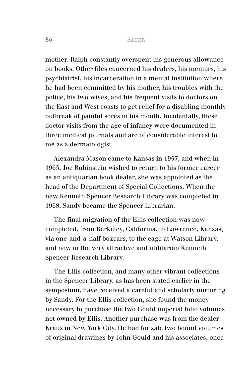mother. Ralph constantly overspent his generous allowance on books. Other files concerned his dealers, his mentors, his psychiatrist, his incarceration in a mental institution where he had been committed by his mother, his troubles with the police, his two wives, and his frequent visits to doctors on the East and West coasts to get relief for a disabling monthly outbreak of painful sores in his mouth. Incidentally, these doctor visits from the age of infancy were documented in three medical journals and are of considerable interest to me as a dermatologist.

Alexandra Mason came to Kansas in 1957, and when in 1963, Joe Rubinstein wished to return to his former career as an antiquarian book dealer, she was appointed as the head of the Department of Special Collections. When the new Kenneth Spencer Research Library was completed in 1968, Sandy became the Spencer Librarian.

The final migration of the Ellis collection was now completed, from Berkeley, California, to Lawrence, Kansas, via one-and-a-half boxcars, to the cage at Watson Library, and now in the very attractive and utilitarian Kenneth Spencer Research Library.

The Ellis collection, and many other vibrant collections in the Spencer Library, as has been stated earlier in the symposium, have received a careful and scholarly nurturing by Sandy. For the Ellis collection, she found the money necessary to purchase the two Gould imperial folio volumes not owned by Ellis. Another purchase was from the dealer Kraus in New York City. He had for sale two bound volumes of original drawings by John Gould and his associates, once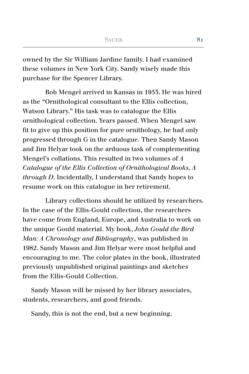owned by the Sir William Jardine family. I had examined these volumes in New York City. Sandy wisely made this purchase for the Spencer Library.

Bob Mengel arrived in Kansas in 1953. He was hired as the "Ornithological consultant to the Ellis collection, Watson Library." His task was to catalogue the Ellis ornithological collection. Years passed. When Mengel saw fit to give up this position for pure ornithology, he had only progressed through G in the catalogue. Then Sandy Mason and Jim Helyar took on the arduous task of complementing Mengel's collations. This resulted in two volumes of *A Catalogue of the Ellis Collection of Ornithological Books, A through D*. Incidentally, I understand that Sandy hopes to resume work on this catalogue in her retirement.

Library collections should be utilized by researchers. In the case of the Ellis-Gould collection, the researchers have come from England, Europe, and Australia to work on the unique Gould material. My book, *John Gould the Bird Man: A Chronology and Bibliography*, was published in 1982. Sandy Mason and Jim Helyar were most helpful and encouraging to me. The color plates in the book, illustrated previously unpublished original paintings and sketches from the Ellis-Gould Collection.

Sandy Mason will be missed by her library associates, students, researchers, and good friends.

Sandy, this is not the end, but a new beginning.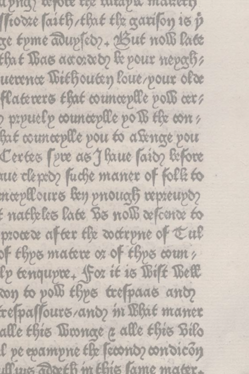apna) refole tex intapir manety ftodze faith, that the garifon is p ge tyme adupsed ?- Azut noll late that Bas accorded the pour mepoch uexente Wiehouten loue/pour olde flaterers that counceplle poli cer? prpuelp counceplle pois the con hat counceplle pou to a senge pou Certes (pre as J haue (ais) before nue clepto fuche maner of folk to mæpllours ben priouaß repreupo? f natheles late Bs nolb refcente to procede after the detrpne of tul of thps matere or of thps count, lp tenqupre. for it is Wilt West to poll thes trespaces and respassours/and m Bhit maner alle this Winnae a alle this Bilo l pe epampne the feconoz condicon Aux Toxeth m this lame mater.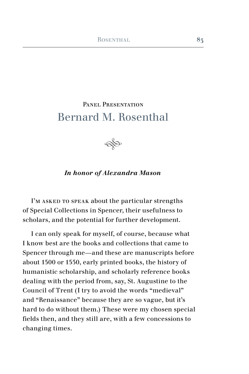## PANEL PRESENTATION Bernard M. Rosenthal



### *In honor of Alexandra Mason*

I'M ASKED TO SPEAK about the particular strengths of Special Collections in Spencer, their usefulness to scholars, and the potential for further development.

I can only speak for myself, of course, because what I know best are the books and collections that came to Spencer through me—and these are manuscripts before about 1500 or 1550, early printed books, the history of humanistic scholarship, and scholarly reference books dealing with the period from, say, St. Augustine to the Council of Trent (I try to avoid the words "medieval" and "Renaissance" because they are so vague, but it's hard to do without them.) These were my chosen special fields then, and they still are, with a few concessions to changing times.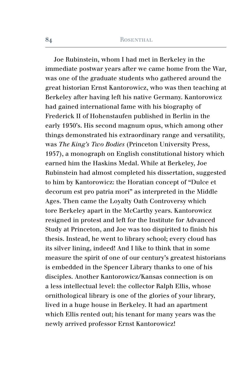Joe Rubinstein, whom I had met in Berkeley in the immediate postwar years after we came home from the War, was one of the graduate students who gathered around the great historian Ernst Kantorowicz, who was then teaching at Berkeley after having left his native Germany. Kantorowicz had gained international fame with his biography of Frederick II of Hohenstaufen published in Berlin in the early 1930's. His second magnum opus, which among other things demonstrated his extraordinary range and versatility, was *The King's Two Bodies* (Princeton University Press, 1957), a monograph on English constitutional history which earned him the Haskins Medal. While at Berkeley, Joe Rubinstein had almost completed his dissertation, suggested to him by Kantorowicz: the Horatian concept of "Dulce et decorum est pro patria mori" as interpreted in the Middle Ages. Then came the Loyalty Oath Controversy which tore Berkeley apart in the McCarthy years. Kantorowicz resigned in protest and left for the Institute for Advanced Study at Princeton, and Joe was too dispirited to finish his thesis. Instead, he went to library school; every cloud has its silver lining, indeed! And I like to think that in some measure the spirit of one of our century's greatest historians is embedded in the Spencer Library thanks to one of his disciples. Another Kantorowicz/Kansas connection is on a less intellectual level: the collector Ralph Ellis, whose ornithological library is one of the glories of your library, lived in a huge house in Berkeley. It had an apartment which Ellis rented out; his tenant for many years was the newly arrived professor Ernst Kantorowicz!

**84**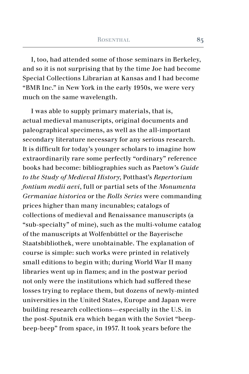I, too, had attended some of those seminars in Berkeley, and so it is not surprising that by the time Joe had become Special Collections Librarian at Kansas and I had become "BMR Inc." in New York in the early 1950s, we were very much on the same wavelength.

I was able to supply primary materials, that is, actual medieval manuscripts, original documents and paleographical specimens, as well as the all-important secondary literature necessary for any serious research. It is difficult for today's younger scholars to imagine how extraordinarily rare some perfectly "ordinary" reference books had become: bibliographies such as Paetow's *Guide to the Study of Medieval History*, Potthast's *Repertorium fontium medii aevi*, full or partial sets of the *Monumenta Germaniae historica* or the *Rolls Series* were commanding prices higher than many incunables; catalogs of collections of medieval and Renaissance manuscripts (a "sub-specialty" of mine), such as the multi-volume catalog of the manuscripts at Wolfenbüttel or the Bayerische Staatsbibliothek, were unobtainable. The explanation of course is simple: such works were printed in relatively small editions to begin with; during World War II many libraries went up in flames; and in the postwar period not only were the institutions which had suffered these losses trying to replace them, but dozens of newly-minted universities in the United States, Europe and Japan were building research collections—especially in the U.S. in the post-Sputnik era which began with the Soviet "beepbeep-beep" from space, in 1957. It took years before the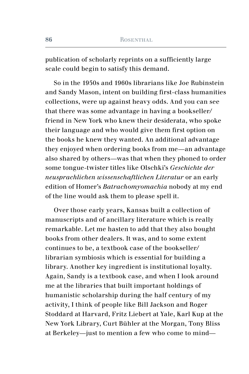publication of scholarly reprints on a sufficiently large scale could begin to satisfy this demand.

So in the 1950s and 1960s librarians like Joe Rubinstein and Sandy Mason, intent on building first-class humanities collections, were up against heavy odds. And you can see that there was some advantage in having a bookseller/ friend in New York who knew their desiderata, who spoke their language and who would give them first option on the books he knew they wanted. An additional advantage they enjoyed when ordering books from me—an advantage also shared by others—was that when they phoned to order some tongue-twister titles like Olschki's *Geschichte der neusprachlichen wissenschaftlichen Literatur* or an early edition of Homer's *Batrachomyomachia* nobody at my end of the line would ask them to please spell it.

Over those early years, Kansas built a collection of manuscripts and of ancillary literature which is really remarkable. Let me hasten to add that they also bought books from other dealers. It was, and to some extent continues to be, a textbook case of the bookseller/ librarian symbiosis which is essential for building a library. Another key ingredient is institutional loyalty. Again, Sandy is a textbook case, and when I look around me at the libraries that built important holdings of humanistic scholarship during the half century of my activity, I think of people like Bill Jackson and Roger Stoddard at Harvard, Fritz Liebert at Yale, Karl Kup at the New York Library, Curt Bühler at the Morgan, Tony Bliss at Berkeley—just to mention a few who come to mind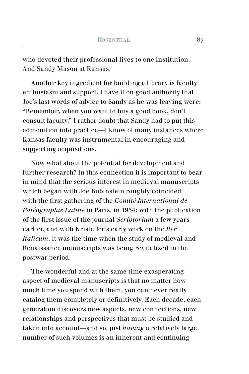who devoted their professional lives to one institution. And Sandy Mason at Kansas.

Another key ingredient for building a library is faculty enthusiasm and support. I have it on good authority that Joe's last words of advice to Sandy as he was leaving were: "Remember, when you want to buy a good book, don't consult faculty." I rather doubt that Sandy had to put this admonition into practice—I know of many instances where Kansas faculty was instrumental in encouraging and supporting acquisitions.

Now what about the potential for development and further research? In this connection it is important to bear in mind that the serious interest in medieval manuscripts which began with Joe Rubinstein roughly coincided with the first gathering of the *Comité International de Paléographie Latine* in Paris, in 1954; with the publication of the first issue of the journal *Scriptorium* a few years earlier, and with Kristeller's early work on the *Iter Italicum*. It was the time when the study of medieval and Renaissance manuscripts was being revitalized in the postwar period.

The wonderful and at the same time exasperating aspect of medieval manuscripts is that no matter how much time you spend with them, you can never really catalog them completely or definitively. Each decade, each generation discovers new aspects, new connections, new relationships and perspectives that must be studied and taken into account—and so, just *having* a relatively large number of such volumes is an inherent and continuing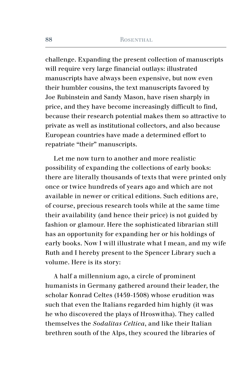challenge. Expanding the present collection of manuscripts will require very large financial outlays: illustrated manuscripts have always been expensive, but now even their humbler cousins, the text manuscripts favored by Joe Rubinstein and Sandy Mason, have risen sharply in price, and they have become increasingly difficult to find, because their research potential makes them so attractive to private as well as institutional collectors, and also because European countries have made a determined effort to repatriate "their" manuscripts.

Let me now turn to another and more realistic possibility of expanding the collections of early books: there are literally thousands of texts that were printed only once or twice hundreds of years ago and which are not available in newer or critical editions. Such editions are, of course, precious research tools while at the same time their availability (and hence their price) is not guided by fashion or glamour. Here the sophisticated librarian still has an opportunity for expanding her or his holdings of early books. Now I will illustrate what I mean, and my wife Ruth and I hereby present to the Spencer Library such a volume. Here is its story:

A half a millennium ago, a circle of prominent humanists in Germany gathered around their leader, the scholar Konrad Celtes (1459-1508) whose erudition was such that even the Italians regarded him highly (it was he who discovered the plays of Hroswitha). They called themselves the *Sodalitas Celtica*, and like their Italian brethren south of the Alps, they scoured the libraries of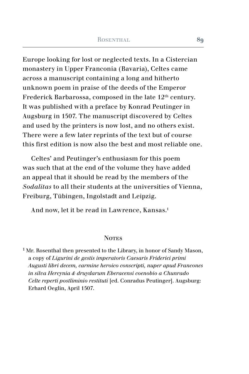Europe looking for lost or neglected texts. In a Cistercian monastery in Upper Franconia (Bavaria), Celtes came across a manuscript containing a long and hitherto unknown poem in praise of the deeds of the Emperor Frederick Barbarossa, composed in the late 12<sup>th</sup> century. It was published with a preface by Konrad Peutinger in Augsburg in 1507. The manuscript discovered by Celtes and used by the printers is now lost, and no others exist. There were a few later reprints of the text but of course this first edition is now also the best and most reliable one.

Celtes' and Peutinger's enthusiasm for this poem was such that at the end of the volume they have added an appeal that it should be read by the members of the *Sodalitas* to all their students at the universities of Vienna, Freiburg, Tübingen, Ingolstadt and Leipzig.

And now, let it be read in Lawrence, Kansas.<sup>1</sup>

#### **NOTES**

 $1$  Mr. Rosenthal then presented to the Library, in honor of Sandy Mason, a copy of *Ligurini de gestis imperatoris Caesaris Friderici primi Augusti libri decem, carmine heroico conscripti, nuper apud Francones in silva Hercynia & druydarum Eberacensi coenobio a Chunrado Celte reperti postliminio restituti* [ed. Conradus Peutinger]. Augsburg: Erhard Oeglin, April 1507.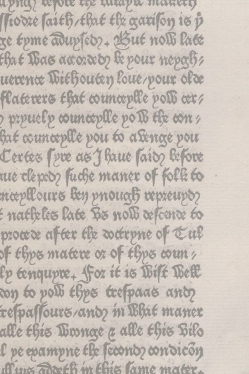apna) refole tex intapir manety ftodze faith, that the garifon is p ge tyme adupsed ?- Azut noll late that Bas accorded the pour mepoch uexente Wiehouten loue/pour olde flaterers that counceplle poli cer? prpuelp counceplle pois the con hat counceplle pou to a senge pou Certes (pre as J haue (ais) before nue clepto fuche maner of folk to mæpllours ben priouaß repreupo? f natheles late Bs nolb refcente to procede after the detrpne of tul of thps matere or of thps count, lp tenqupre. for it is Wilt West to poll thes trespaces and respassours/and m Bhit maner alle this Winnae a alle this Bilo l pe epampne the feconoz condicon Aux Toxeth m this lame mater.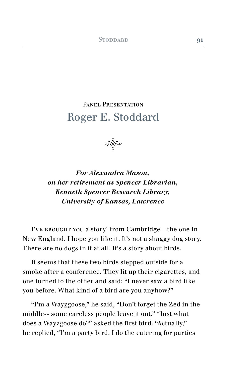# Panel Presentation Roger E. Stoddard



*For Alexandra Mason, on her retirement as Spencer Librarian, Kenneth Spencer Research Library, University of Kansas, Lawrence*

I've brought you a story<sup>1</sup> from Cambridge—the one in New England. I hope you like it. It's not a shaggy dog story. There are no dogs in it at all. It's a story about birds.

It seems that these two birds stepped outside for a smoke after a conference. They lit up their cigarettes, and one turned to the other and said: "I never saw a bird like you before. What kind of a bird are you anyhow?"

"I'm a Wayzgoose," he said, "Don't forget the Zed in the middle-- some careless people leave it out." "Just what does a Wayzgoose do?" asked the first bird. "Actually," he replied, "I'm a party bird. I do the catering for parties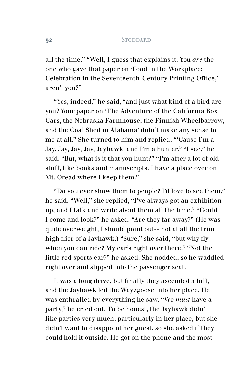all the time." "Well, I guess that explains it. You *are* the one who gave that paper on 'Food in the Workplace: Celebration in the Seventeenth-Century Printing Office,' aren't you?"

"Yes, indeed," he said, "and just what kind of a bird are you? Your paper on 'The Adventure of the California Box Cars, the Nebraska Farmhouse, the Finnish Wheelbarrow, and the Coal Shed in Alabama' didn't make any sense to me at all." She turned to him and replied, "'Cause I'm a Jay, Jay, Jay, Jay, Jayhawk, and I'm a hunter." "I see," he said. "But, what is it that you hunt?" "I'm after a lot of old stuff, like books and manuscripts. I have a place over on Mt. Oread where I keep them."

"Do you ever show them to people? I'd love to see them," he said. "Well," she replied, "I've always got an exhibition up, and I talk and write about them all the time." "Could I come and look?" he asked. "Are they far away?" (He was quite overweight, I should point out-- not at all the trim high flier of a Jayhawk.) "Sure," she said, "but why fly when you can ride? My car's right over there." "Not the little red sports car?" he asked. She nodded, so he waddled right over and slipped into the passenger seat.

It was a long drive, but finally they ascended a hill, and the Jayhawk led the Wayzgoose into her place. He was enthralled by everything he saw. "We *must* have a party," he cried out. To be honest, the Jayhawk didn't like parties very much, particularly in her place, but she didn't want to disappoint her guest, so she asked if they could hold it outside. He got on the phone and the most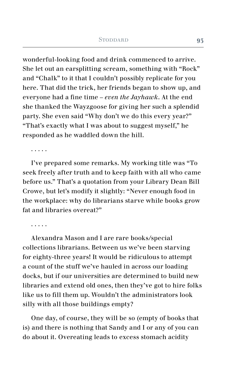wonderful-looking food and drink commenced to arrive. She let out an earsplitting scream, something with "Rock" and "Chalk" to it that I couldn't possibly replicate for you here. That did the trick, her friends began to show up, and everyone had a fine time – *even the Jayhawk*. At the end she thanked the Wayzgoose for giving her such a splendid party. She even said "Why don't we do this every year?" "That's exactly what I was about to suggest myself," he responded as he waddled down the hill.

. . . . .

I've prepared some remarks. My working title was "To seek freely after truth and to keep faith with all who came before us." That's a quotation from your Library Dean Bill Crowe, but let's modify it slightly: "Never enough food in the workplace: why do librarians starve while books grow fat and libraries overeat?"

. . . . .

Alexandra Mason and I are rare books/special collections librarians. Between us we've been starving for eighty-three years! It would be ridiculous to attempt a count of the stuff we've hauled in across our loading docks, but if our universities are determined to build new libraries and extend old ones, then they've got to hire folks like us to fill them up. Wouldn't the administrators look silly with all those buildings empty?

One day, of course, they will be so (empty of books that is) and there is nothing that Sandy and I or any of you can do about it. Overeating leads to excess stomach acidity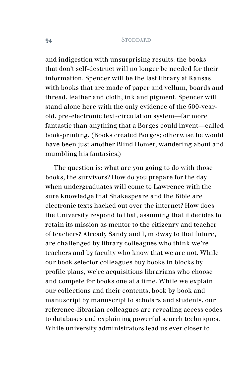and indigestion with unsurprising results: the books that don't self-destruct will no longer be needed for their information. Spencer will be the last library at Kansas with books that are made of paper and vellum, boards and thread, leather and cloth, ink and pigment. Spencer will stand alone here with the only evidence of the 500-yearold, pre-electronic text-circulation system—far more fantastic than anything that a Borges could invent—called book-printing. (Books created Borges; otherwise he would have been just another Blind Homer, wandering about and mumbling his fantasies.)

The question is: what are you going to do with those books, the survivors? How do you prepare for the day when undergraduates will come to Lawrence with the sure knowledge that Shakespeare and the Bible are electronic texts hacked out over the internet? How does the University respond to that, assuming that it decides to retain its mission as mentor to the citizenry and teacher of teachers? Already Sandy and I, midway to that future, are challenged by library colleagues who think we're teachers and by faculty who know that we are not. While our book selector colleagues buy books in blocks by profile plans, we're acquisitions librarians who choose and compete for books one at a time. While we explain our collections and their contents, book by book and manuscript by manuscript to scholars and students, our reference-librarian colleagues are revealing access codes to databases and explaining powerful search techniques. While university administrators lead us ever closer to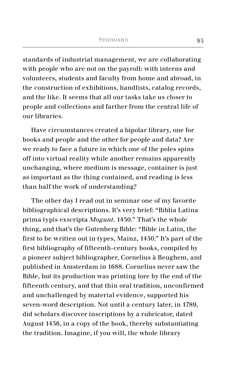standards of industrial management, we are collaborating with people who are not on the payroll: with interns and volunteers, students and faculty from home and abroad, in the construction of exhibitions, handlists, catalog records, and the like. It seems that all our tasks take us closer to people and collections and farther from the central life of our libraries.

Have circumstances created a bipolar library, one for books and people and the other for people and data? Are we ready to face a future in which one of the poles spins off into virtual reality while another remains apparently unchanging, where medium is message, container is just as important as the thing contained, and reading is less than half the work of understanding?

The other day I read out in seminar one of my favorite bibliographical descriptions. It's very brief: "Biblia Latina prima typis exscripta *Mogunt*. 1450." That's the whole thing, and that's the Gutenberg Bible: "Bible in Latin, the first to be written out in types, Mainz, 1450." It's part of the first bibliography of fifteenth-century books, compiled by a pioneer subject bibliographer, Cornelius à Beughem, and published in Amsterdam in 1688. Cornelius never saw the Bible, but its production was printing lore by the end of the fifteenth century, and that thin oral tradition, unconfirmed and unchallenged by material evidence, supported his seven-word description. Not until a century later, in 1789, did scholars discover inscriptions by a rubricator, dated August 1456, in a copy of the book, thereby substantiating the tradition. Imagine, if you will, the whole library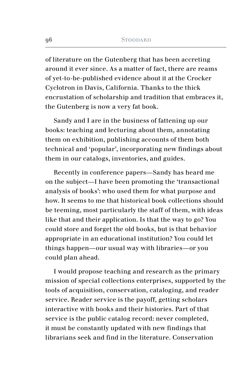of literature on the Gutenberg that has been accreting around it ever since. As a matter of fact, there are reams of yet-to-be-published evidence about it at the Crocker Cyclotron in Davis, California. Thanks to the thick encrustation of scholarship and tradition that embraces it, the Gutenberg is now a very fat book.

Sandy and I are in the business of fattening up our books: teaching and lecturing about them, annotating them on exhibition, publishing accounts of them both technical and 'popular', incorporating new findings about them in our catalogs, inventories, and guides.

Recently in conference papers—Sandy has heard me on the subject—I have been promoting the 'transactional analysis of books': who used them for what purpose and how. It seems to me that historical book collections should be teeming, most particularly the staff of them, with ideas like that and their application. Is that the way to go? You could store and forget the old books, but is that behavior appropriate in an educational institution? You could let things happen—our usual way with libraries—or you could plan ahead.

I would propose teaching and research as the primary mission of special collections enterprises, supported by the tools of acquisition, conservation, cataloging, and reader service. Reader service is the payoff, getting scholars interactive with books and their histories. Part of that service is the public catalog record: never completed, it must be constantly updated with new findings that librarians seek and find in the literature. Conservation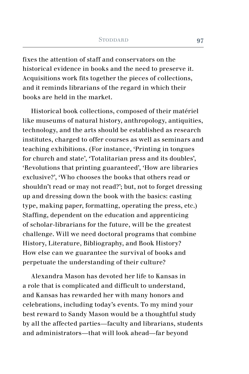fixes the attention of staff and conservators on the historical evidence in books and the need to preserve it. Acquisitions work fits together the pieces of collections, and it reminds librarians of the regard in which their books are held in the market.

Historical book collections, composed of their matériel like museums of natural history, anthropology, antiquities, technology, and the arts should be established as research institutes, charged to offer courses as well as seminars and teaching exhibitions. (For instance, 'Printing in tongues for church and state', 'Totalitarian press and its doubles', 'Revolutions that printing guaranteed', 'How are libraries exclusive?', 'Who chooses the books that others read or shouldn't read or may not read?'; but, not to forget dressing up and dressing down the book with the basics: casting type, making paper, formatting, operating the press, etc.) Staffing, dependent on the education and apprenticing of scholar-librarians for the future, will be the greatest challenge. Will we need doctoral programs that combine History, Literature, Bibliography, and Book History? How else can we guarantee the survival of books and perpetuate the understanding of their culture?

Alexandra Mason has devoted her life to Kansas in a role that is complicated and difficult to understand, and Kansas has rewarded her with many honors and celebrations, including today's events. To my mind your best reward to Sandy Mason would be a thoughtful study by all the affected parties—faculty and librarians, students and administrators—that will look ahead—far beyond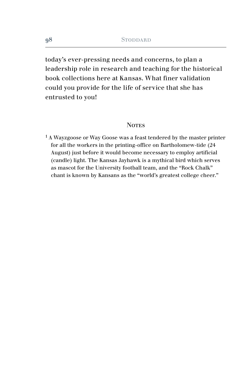today's ever-pressing needs and concerns, to plan a leadership role in research and teaching for the historical book collections here at Kansas. What finer validation could you provide for the life of service that she has entrusted to you!

#### **NOTES**

 $1A$  Wayzgoose or Way Goose was a feast tendered by the master printer for all the workers in the printing-office on Bartholomew-tide (24 August) just before it would become necessary to employ artificial (candle) light. The Kansas Jayhawk is a mythical bird which serves as mascot for the University football team, and the "Rock Chalk" chant is known by Kansans as the "world's greatest college cheer."

**98**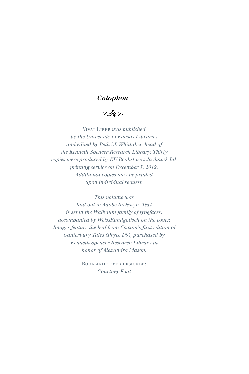### *Colophon*

≪

Vivat Liber *was published by the University of Kansas Libraries and edited by Beth M. Whittaker, head of the Kenneth Spencer Research Library. Thirty copies were produced by KU Bookstore's Jayhawk Ink printing service on December 5, 2012. Additional copies may be printed upon individual request.*

*This volume was laid out in Adobe InDesign. Text is set in the Walbaum family of typefaces, accompanied by WeissRundgotisch on the cover. Images feature the leaf from Caxton's first edition of Canterbury Tales (Pryce D9), purchased by Kenneth Spencer Research Library in honor of Alexandra Mason.*

> Book and cover designer: *Courtney Foat*